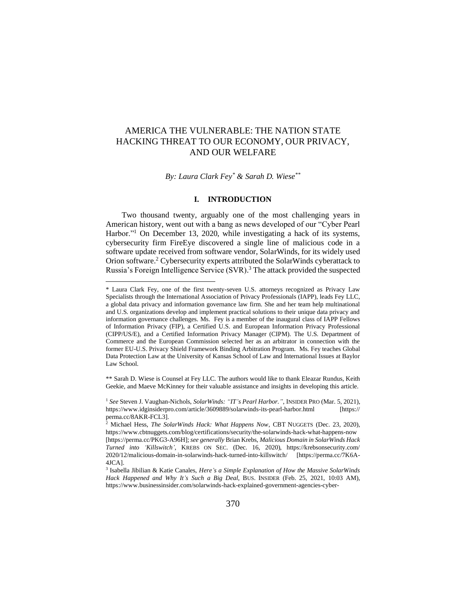# AMERICA THE VULNERABLE: THE NATION STATE HACKING THREAT TO OUR ECONOMY, OUR PRIVACY, AND OUR WELFARE

*By: Laura Clark Fey\* & Sarah D. Wiese\*\**

### **I. INTRODUCTION**

Two thousand twenty, arguably one of the most challenging years in American history, went out with a bang as news developed of our "Cyber Pearl Harbor."<sup>1</sup> On December 13, 2020, while investigating a hack of its systems, cybersecurity firm FireEye discovered a single line of malicious code in a software update received from software vendor, SolarWinds, for its widely used Orion software.<sup>2</sup> Cybersecurity experts attributed the SolarWinds cyberattack to Russia's Foreign Intelligence Service (SVR). <sup>3</sup> The attack provided the suspected

\*\* Sarah D. Wiese is Counsel at Fey LLC. The authors would like to thank Eleazar Rundus, Keith Geekie, and Maeve McKinney for their valuable assistance and insights in developing this article.

<sup>\*</sup> Laura Clark Fey, one of the first twenty-seven U.S. attorneys recognized as Privacy Law Specialists through the International Association of Privacy Professionals (IAPP), leads Fey LLC, a global data privacy and information governance law firm. She and her team help multinational and U.S. organizations develop and implement practical solutions to their unique data privacy and information governance challenges. Ms. Fey is a member of the inaugural class of IAPP Fellows of Information Privacy (FIP), a Certified U.S. and European Information Privacy Professional (CIPP/US/E), and a Certified Information Privacy Manager (CIPM). The U.S. Department of Commerce and the European Commission selected her as an arbitrator in connection with the former EU-U.S. Privacy Shield Framework Binding Arbitration Program. Ms. Fey teaches Global Data Protection Law at the University of Kansas School of Law and International Issues at Baylor Law School.

<sup>1</sup> *See* Steven J. Vaughan-Nichols, *SolarWinds: "IT's Pearl Harbor."*, INSIDER PRO (Mar. 5, 2021), https://www.idginsiderpro.com/article/3609889/solarwinds-its-pearl-harbor.html [https:// perma.cc/8AKR-FCL3].

<sup>2</sup> Michael Hess, *The SolarWinds Hack: What Happens Now*, CBT NUGGETS (Dec. 23, 2020), https://www.cbtnuggets.com/blog/certifications/security/the-solarwinds-hack-what-happens-now [https://perma.cc/PKG3-A96H]; *see generally* Brian Krebs, *Malicious Domain in SolarWinds Hack Turned into 'Killswitch'*, KREBS ON SEC. (Dec. 16, 2020), https://krebsonsecurity.com/ 2020/12/malicious-domain-in-solarwinds-hack-turned-into-killswitch/ [https://perma.cc/7K6A-4JCA].

<sup>3</sup> Isabella Jibilian & Katie Canales, *Here's a Simple Explanation of How the Massive SolarWinds Hack Happened and Why It's Such a Big Deal*, BUS. INSIDER (Feb. 25, 2021, 10:03 AM), https://www.businessinsider.com/solarwinds-hack-explained-government-agencies-cyber-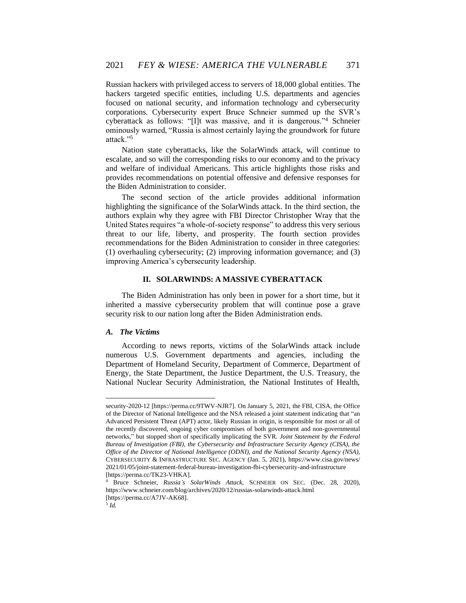Russian hackers with privileged access to servers of 18,000 global entities. The hackers targeted specific entities, including U.S. departments and agencies focused on national security, and information technology and cybersecurity corporations. Cybersecurity expert Bruce Schneier summed up the SVR's cyberattack as follows: "[I]t was massive, and it is dangerous."<sup>4</sup> Schneier ominously warned, "Russia is almost certainly laying the groundwork for future attack."<sup>5</sup>

Nation state cyberattacks, like the SolarWinds attack, will continue to escalate, and so will the corresponding risks to our economy and to the privacy and welfare of individual Americans. This article highlights those risks and provides recommendations on potential offensive and defensive responses for the Biden Administration to consider.

The second section of the article provides additional information highlighting the significance of the SolarWinds attack. In the third section, the authors explain why they agree with FBI Director Christopher Wray that the United States requires "a whole-of-society response" to address this very serious threat to our life, liberty, and prosperity. The fourth section provides recommendations for the Biden Administration to consider in three categories: (1) overhauling cybersecurity; (2) improving information governance; and (3) improving America's cybersecurity leadership.

#### **II. SOLARWINDS: A MASSIVE CYBERATTACK**

The Biden Administration has only been in power for a short time, but it inherited a massive cybersecurity problem that will continue pose a grave security risk to our nation long after the Biden Administration ends.

### *A. The Victims*

According to news reports, victims of the SolarWinds attack include numerous U.S. Government departments and agencies, including the Department of Homeland Security, Department of Commerce, Department of Energy, the State Department, the Justice Department, the U.S. Treasury, the National Nuclear Security Administration, the National Institutes of Health,

security-2020-12 [https://perma.cc/9TWV-NJR7]. On January 5, 2021, the FBI, CISA, the Office of the Director of National Intelligence and the NSA released a joint statement indicating that "an Advanced Persistent Threat (APT) actor, likely Russian in origin, is responsible for most or all of the recently discovered, ongoing cyber compromises of both government and non-governmental networks," but stopped short of specifically implicating the SVR. *Joint Statement by the Federal Bureau of Investigation (FBI), the Cybersecurity and Infrastructure Security Agency (CISA), the Office of the Director of National Intelligence (ODNI), and the National Security Agency (NSA)*, CYBERSECURITY & INFRASTRUCTURE SEC. AGENCY (Jan. 5, 2021), https://www.cisa.gov/news/ 2021/01/05/joint-statement-federal-bureau-investigation-fbi-cybersecurity-and-infrastructure [https://perma.cc/TK23-VHKA].

<sup>4</sup> Bruce Schneier, *Russia's SolarWinds Attack*, SCHNEIER ON SEC. (Dec. 28, 2020), https://www.schneier.com/blog/archives/2020/12/russias-solarwinds-attack.html [https://perma.cc/A7JV-AK68].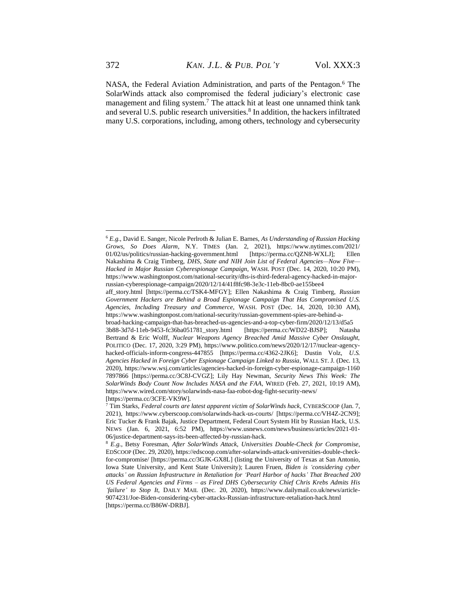NASA, the Federal Aviation Administration, and parts of the Pentagon.<sup>6</sup> The SolarWinds attack also compromised the federal judiciary's electronic case management and filing system.<sup>7</sup> The attack hit at least one unnamed think tank and several U.S. public research universities.<sup>8</sup> In addition, the hackers infiltrated many U.S. corporations, including, among others, technology and cybersecurity

<sup>6</sup> *E.g.*, David E. Sanger, Nicole Perlroth & Julian E. Barnes, *As Understanding of Russian Hacking Grows, So Does Alarm*, N.Y. TIMES (Jan. 2, 2021), https://www.nytimes.com/2021/ 01/02/us/politics/russian-hacking-government.html [https://perma.cc/QZN8-WXLJ]; Ellen Nakashima & Craig Timberg, *DHS, State and NIH Join List of Federal Agencies—Now Five— Hacked in Major Russian Cyberespionage Campaign*, WASH. POST (Dec. 14, 2020, 10:20 PM), https://www.washingtonpost.com/national-security/dhs-is-third-federal-agency-hacked-in-majorrussian-cyberespionage-campaign/2020/12/14/41f8fc98-3e3c-11eb-8bc0-ae155bee4

aff\_story.html [https://perma.cc/TSK4-MFGY]; Ellen Nakashima & Craig Timberg, *Russian Government Hackers are Behind a Broad Espionage Campaign That Has Compromised U.S. Agencies, Including Treasury and Commerce*, WASH. POST (Dec. 14, 2020, 10:30 AM), https://www.washingtonpost.com/national-security/russian-government-spies-are-behind-a-

broad-hacking-campaign-that-has-breached-us-agencies-and-a-top-cyber-firm/2020/12/13/d5a5 3b88-3d7d-11eb-9453-fc36ba051781\_story.html [https://perma.cc/WD22-BJSP]; Natasha Bertrand & Eric Wolff, *Nuclear Weapons Agency Breached Amid Massive Cyber Onslaught*, POLITICO (Dec. 17, 2020, 3:29 PM), https://www.politico.com/news/2020/12/17/nuclear-agencyhacked-officials-inform-congress-447855 [https://perma.cc/4362-2JK6]; Dustin Volz, *U.S. Agencies Hacked in Foreign Cyber Espionage Campaign Linked to Russia*, WALL ST. J. (Dec. 13, 2020), https://www.wsj.com/articles/agencies-hacked-in-foreign-cyber-espionage-campaign-1160 7897866 [https://perma.cc/3C8J-CVGZ]; Lily Hay Newman, *Security News This Week: The SolarWinds Body Count Now Includes NASA and the FAA*, WIRED (Feb. 27, 2021, 10:19 AM), https://www.wired.com/story/solarwinds-nasa-faa-robot-dog-fight-security-news/ [https://perma.cc/3CFE-VK9W].

<sup>7</sup> Tim Starks, *Federal courts are latest apparent victim of SolarWinds hack*, CYBERSCOOP (Jan. 7, 2021), https://www.cyberscoop.com/solarwinds-hack-us-courts/ [https://perma.cc/VH4Z-2CN9]; Eric Tucker & Frank Bajak, Justice Department, Federal Court System Hit by Russian Hack, U.S. NEWS (Jan. 6, 2021, 6:52 PM), https://www.usnews.com/news/business/articles/2021-01- 06/justice-department-says-its-been-affected-by-russian-hack.

<sup>8</sup> *E.g.*, Betsy Foresman, *After SolarWinds Attack, Universities Double-Check for Compromise*, EDSCOOP (Dec. 29, 2020), https://edscoop.com/after-solarwinds-attack-universities-double-checkfor-compromise/ [https://perma.cc/3GJK-GX8L] (listing the University of Texas at San Antonio, Iowa State University, and Kent State University); Lauren Fruen, *Biden is 'considering cyber attacks' on Russian Infrastructure in Retaliation for 'Pearl Harbor of hacks' That Breached 200 US Federal Agencies and Firms – as Fired DHS Cybersecurity Chief Chris Krebs Admits His 'failure' to Stop It*, DAILY MAIL (Dec. 20, 2020), https://www.dailymail.co.uk/news/article-9074231/Joe-Biden-considering-cyber-attacks-Russian-infrastructure-retaliation-hack.html [https://perma.cc/B86W-DRBJ].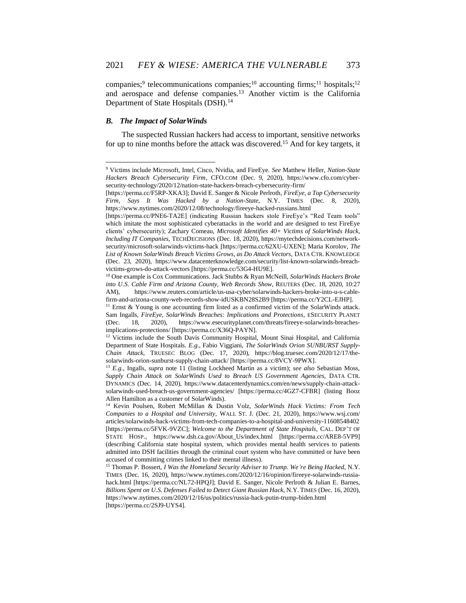companies;<sup>9</sup> telecommunications companies;<sup>10</sup> accounting firms;<sup>11</sup> hospitals;<sup>12</sup> and aerospace and defense companies.<sup>13</sup> Another victim is the California Department of State Hospitals (DSH).<sup>14</sup>

# *B. The Impact of SolarWinds*

The suspected Russian hackers had access to important, sensitive networks for up to nine months before the attack was discovered.<sup>15</sup> And for key targets, it

<sup>9</sup> Victims include Microsoft, Intel, Cisco, Nvidia, and FireEye. *See* Matthew Heller, *Nation-State Hackers Breach Cybersecurity Firm*, CFO.COM (Dec. 9, 2020), https://www.cfo.com/cybersecurity-technology/2020/12/nation-state-hackers-breach-cybersecurity-firm/

<sup>[</sup>https://perma.cc/F5RP-XKA3]; David E. Sanger & Nicole Perlroth, *FireEye, a Top Cybersecurity Firm, Says It Was Hacked by a Nation-State*, N.Y. TIMES (Dec. 8, 2020), https://www.nytimes.com/2020/12/08/technology/fireeye-hacked-russians.html

<sup>[</sup>https://perma.cc/PNE6-TA2E] (indicating Russian hackers stole FireEye's "Red Team tools" which imitate the most sophisticated cyberattacks in the world and are designed to test FireEye clients' cybersecurity); Zachary Comeau, *Microsoft Identifies 40+ Victims of SolarWinds Hack, Including IT Companies*, TECHDECISIONS (Dec. 18, 2020), https://mytechdecisions.com/networksecurity/microsoft-solarwinds-victims-hack [https://perma.cc/62XU-UXEN]; Maria Korolov, *The List of Known SolarWinds Breach Victims Grows, as Do Attack Vectors*, DATA CTR. KNOWLEDGE (Dec. 23, 2020), https://www.datacenterknowledge.com/security/list-known-solarwinds-breachvictims-grows-do-attack-vectors [https://perma.cc/53G4-HU9E].

<sup>10</sup> One example is Cox Communications. Jack Stubbs & Ryan McNeill, *SolarWinds Hackers Broke into U.S. Cable Firm and Arizona County, Web Records Show*, REUTERS (Dec. 18, 2020, 10:27 AM), https://www.reuters.com/article/us-usa-cyber/solarwinds-hackers-broke-into-u-s-cablefirm-and-arizona-county-web-records-show-idUSKBN28S2B9 [https://perma.cc/Y2CL-EJHP].

<sup>&</sup>lt;sup>11</sup> Ernst  $\&$  Young is one accounting firm listed as a confirmed victim of the SolarWinds attack. Sam Ingalls, *FireEye, SolarWinds Breaches: Implications and Protections*, ESECURITY PLANET (Dec. 18, 2020), https://www.esecurityplanet.com/threats/fireeye-solarwinds-breachesimplications-protections/ [https://perma.cc/X36Q-PAYN].

<sup>&</sup>lt;sup>12</sup> Victims include the South Davis Community Hospital, Mount Sinai Hospital, and California Department of State Hospitals. *E.g.*, Fabio Viggiani, *The SolarWinds Orion SUNBURST Supply-Chain Attack*, TRUESEC BLOG (Dec. 17, 2020), https://blog.truesec.com/2020/12/17/thesolarwinds-orion-sunburst-supply-chain-attack/ [https://perma.cc/8VCY-9PWX].

<sup>13</sup> *E.g.*, Ingalls, *supra* note 11 (listing Lockheed Martin as a victim); *see also* Sebastian Moss, *Supply Chain Attack on SolarWinds Used to Breach US Government Agencies*, DATA CTR. DYNAMICS (Dec. 14, 2020), https://www.datacenterdynamics.com/en/news/supply-chain-attacksolarwinds-used-breach-us-government-agencies/ [https://perma.cc/4GZ7-CFBR] (listing Booz Allen Hamilton as a customer of SolarWinds).

<sup>14</sup> Kevin Poulsen, Robert McMillan & Dustin Volz, *SolarWinds Hack Victims: From Tech Companies to a Hospital and University*, WALL ST. J. (Dec. 21, 2020), https://www.wsj.com/ articles/solarwinds-hack-victims-from-tech-companies-to-a-hospital-and-university-11608548402 [https://perma.cc/5FVK-9VZC]; *Welcome to the Department of State Hospitals*, CAL. DEP'T OF STATE HOSP., https://www.dsh.ca.gov/About\_Us/index.html [https://perma.cc/ARE8-5VP9] (describing California state hospital system, which provides mental health services to patients admitted into DSH facilities through the criminal court system who have committed or have been accused of committing crimes linked to their mental illness).

<sup>15</sup> Thomas P. Bossert, *I Was the Homeland Security Adviser to Trump. We're Being Hacked*, N.Y. TIMES (Dec. 16, 2020), https://www.nytimes.com/2020/12/16/opinion/fireeye-solarwinds-russiahack.html [https://perma.cc/NL72-HPQJ]; David E. Sanger, Nicole Perlroth & Julian E. Barnes, *Billions Spent on U.S. Defenses Failed to Detect Giant Russian Hack*, N.Y. TIMES (Dec. 16, 2020), https://www.nytimes.com/2020/12/16/us/politics/russia-hack-putin-trump-biden.html [https://perma.cc/2SJ9-UYS4].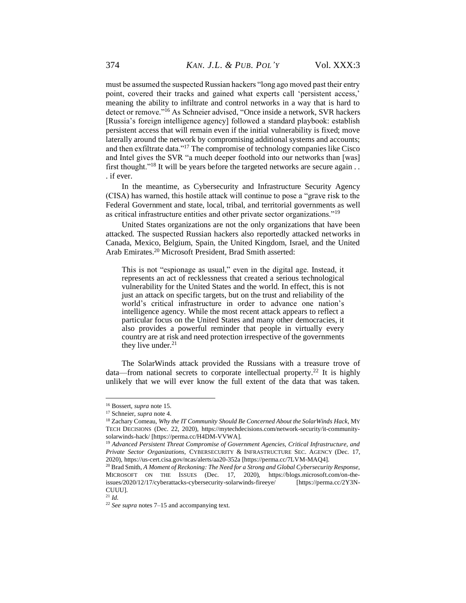must be assumed the suspected Russian hackers "long ago moved past their entry point, covered their tracks and gained what experts call 'persistent access,' meaning the ability to infiltrate and control networks in a way that is hard to detect or remove."<sup>16</sup> As Schneier advised, "Once inside a network, SVR hackers [Russia's foreign intelligence agency] followed a standard playbook: establish persistent access that will remain even if the initial vulnerability is fixed; move laterally around the network by compromising additional systems and accounts; and then exfiltrate data."<sup>17</sup> The compromise of technology companies like Cisco and Intel gives the SVR "a much deeper foothold into our networks than [was] first thought."<sup>18</sup> It will be years before the targeted networks are secure again . . . if ever.

In the meantime, as Cybersecurity and Infrastructure Security Agency (CISA) has warned, this hostile attack will continue to pose a "grave risk to the Federal Government and state, local, tribal, and territorial governments as well as critical infrastructure entities and other private sector organizations."<sup>19</sup>

United States organizations are not the only organizations that have been attacked. The suspected Russian hackers also reportedly attacked networks in Canada, Mexico, Belgium, Spain, the United Kingdom, Israel, and the United Arab Emirates.<sup>20</sup> Microsoft President, Brad Smith asserted:

This is not "espionage as usual," even in the digital age. Instead, it represents an act of recklessness that created a serious technological vulnerability for the United States and the world. In effect, this is not just an attack on specific targets, but on the trust and reliability of the world's critical infrastructure in order to advance one nation's intelligence agency. While the most recent attack appears to reflect a particular focus on the United States and many other democracies, it also provides a powerful reminder that people in virtually every country are at risk and need protection irrespective of the governments they live under.<sup>21</sup>

The SolarWinds attack provided the Russians with a treasure trove of data—from national secrets to corporate intellectual property.<sup>22</sup> It is highly unlikely that we will ever know the full extent of the data that was taken.

<sup>16</sup> Bossert, *supra* note 15.

<sup>17</sup> Schneier, *supra* note 4.

<sup>18</sup> Zachary Comeau, *Why the IT Community Should Be Concerned About the SolarWinds Hack*, MY TECH DECISIONS (Dec. 22, 2020), https://mytechdecisions.com/network-security/it-communitysolarwinds-hack/ [https://perma.cc/H4DM-VVWA].

<sup>19</sup> *Advanced Persistent Threat Compromise of Government Agencies, Critical Infrastructure, and Private Sector Organizations*, CYBERSECURITY & INFRASTRUCTURE SEC. AGENCY (Dec. 17, 2020), https://us-cert.cisa.gov/ncas/alerts/aa20-352a [https://perma.cc/7LVM-MAQ4].

<sup>20</sup> Brad Smith, *A Moment of Reckoning: The Need for a Strong and Global Cybersecurity Response*, MICROSOFT ON THE ISSUES (Dec. 17, 2020), https://blogs.microsoft.com/on-theissues/2020/12/17/cyberattacks-cybersecurity-solarwinds-fireeye/ [https://perma.cc/2Y3N-CUUU].

<sup>21</sup> *Id.*

<sup>22</sup> *See supra* notes 7–15 and accompanying text.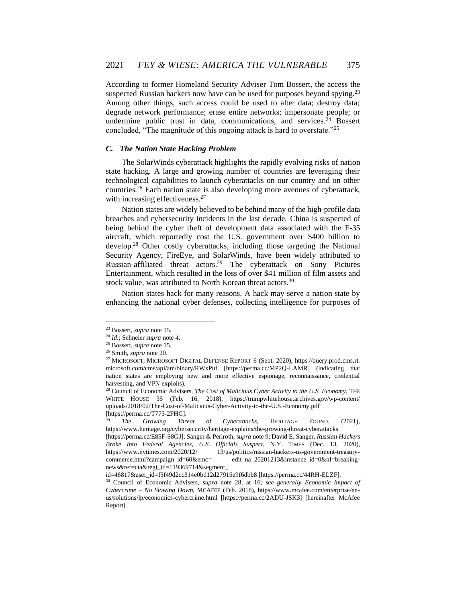According to former Homeland Security Adviser Tom Bossert, the access the suspected Russian hackers now have can be used for purposes beyond spying.<sup>23</sup> Among other things, such access could be used to alter data; destroy data; degrade network performance; erase entire networks; impersonate people; or undermine public trust in data, communications, and services.<sup>24</sup> Bossert concluded, "The magnitude of this ongoing attack is hard to overstate."<sup>25</sup>

### *C. The Nation State Hacking Problem*

The SolarWinds cyberattack highlights the rapidly evolving risks of nation state hacking. A large and growing number of countries are leveraging their technological capabilities to launch cyberattacks on our country and on other countries.<sup>26</sup> Each nation state is also developing more avenues of cyberattack, with increasing effectiveness.<sup>27</sup>

Nation states are widely believed to be behind many of the high-profile data breaches and cybersecurity incidents in the last decade. China is suspected of being behind the cyber theft of development data associated with the F-35 aircraft, which reportedly cost the U.S. government over \$400 billion to develop.<sup>28</sup> Other costly cyberattacks, including those targeting the National Security Agency, FireEye, and SolarWinds, have been widely attributed to Russian-affiliated threat actors. <sup>29</sup> The cyberattack on Sony Pictures Entertainment, which resulted in the loss of over \$41 million of film assets and stock value, was attributed to North Korean threat actors.<sup>30</sup>

Nation states hack for many reasons. A hack may serve a nation state by enhancing the national cyber defenses, collecting intelligence for purposes of

<sup>23</sup> Bossert, *supra* note 15.

<sup>24</sup> *Id*.; Schneier *supra* note 4.

<sup>25</sup> Bossert, *supra* note 15.

<sup>26</sup> Smith, *supra* note 20.

<sup>27</sup> MICROSOFT, MICROSOFT DIGITAL DEFENSE REPORT 6 (Sept. 2020), https://query.prod.cms.rt. microsoft.com/cms/api/am/binary/RWxPuf [https://perma.cc/MP2Q-LAMR] (indicating that nation states are employing new and more effective espionage, reconnaissance, credential harvesting, and VPN exploits).

<sup>28</sup> Council of Economic Advisers, *The Cost of Malicious Cyber Activity to the U.S. Economy*, THE WHITE HOUSE 35 (Feb. 16, 2018), https://trumpwhitehouse.archives.gov/wp-content/ uploads/2018/02/The-Cost-of-Malicious-Cyber-Activity-to-the-U.S.-Economy.pdf [https://perma.cc/T773-2FHC].

<sup>29</sup> *The Growing Threat of Cyberattacks*, HERITAGE FOUND. (2021), https://www.heritage.org/cybersecurity/heritage-explains/the-growing-threat-cyberattacks

<sup>[</sup>https://perma.cc/E85F-S8GJ]; Sanger & Perlroth, *supra* note 9; David E. Sanger, *Russian Hackers Broke Into Federal Agencies, U.S. Officials Suspect*, N.Y. TIMES (Dec. 13, 2020), https://www.nytimes.com/2020/12/ 13/us/politics/russian-hackers-us-government-treasurycommerce.html?campaign\_id=60&emc= edit\_na\_20201213&instance\_id=0&nl=breakingnews&ref=cta&regi\_id=119369714&segment\_

id=46817&user\_id=f5f49d2cc314e0bd12d27915e9f6dbb8 [https://perma.cc/44RH-ELZF].

<sup>30</sup> Council of Economic Advisers, *supra* note 28, at 16; *see generally Economic Impact of Cybercrime – No Slowing Down*, MCAFEE (Feb. 2018), https://www.mcafee.com/enterprise/enus/solutions/lp/economics-cybercrime.html [https://perma.cc/2ADU-JSK3] [hereinafter McAfee Report].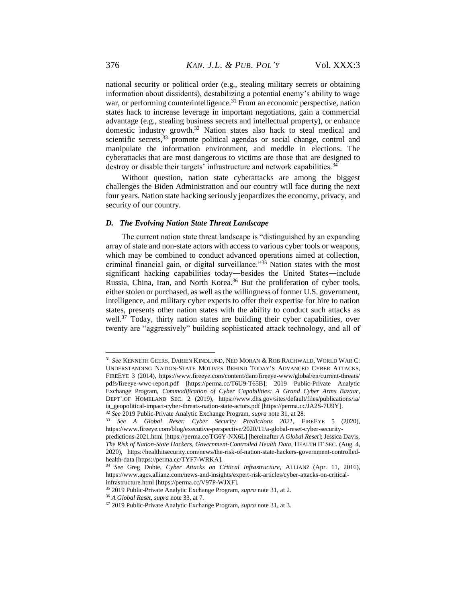national security or political order (e.g., stealing military secrets or obtaining information about dissidents), destabilizing a potential enemy's ability to wage war, or performing counterintelligence.<sup>31</sup> From an economic perspective, nation states hack to increase leverage in important negotiations, gain a commercial advantage (e.g., stealing business secrets and intellectual property), or enhance domestic industry growth.<sup>32</sup> Nation states also hack to steal medical and scientific secrets,<sup>33</sup> promote political agendas or social change, control and manipulate the information environment, and meddle in elections. The cyberattacks that are most dangerous to victims are those that are designed to destroy or disable their targets' infrastructure and network capabilities.<sup>34</sup>

Without question, nation state cyberattacks are among the biggest challenges the Biden Administration and our country will face during the next four years. Nation state hacking seriously jeopardizes the economy, privacy, and security of our country.

#### *D. The Evolving Nation State Threat Landscape*

The current nation state threat landscape is "distinguished by an expanding array of state and non-state actors with access to various cyber tools or weapons, which may be combined to conduct advanced operations aimed at collection, criminal financial gain, or digital surveillance." $35$  Nation states with the most significant hacking capabilities today―besides the United States―include Russia, China, Iran, and North Korea.<sup>36</sup> But the proliferation of cyber tools, either stolen or purchased, as well as the willingness of former U.S. government, intelligence, and military cyber experts to offer their expertise for hire to nation states, presents other nation states with the ability to conduct such attacks as well.<sup>37</sup> Today, thirty nation states are building their cyber capabilities, over twenty are "aggressively" building sophisticated attack technology, and all of

<sup>31</sup> *See* KENNETH GEERS, DARIEN KINDLUND, NED MORAN & ROB RACHWALD, WORLD WAR C: UNDERSTANDING NATION-STATE MOTIVES BEHIND TODAY'S ADVANCED CYBER ATTACKS, FIREEYE 3 (2014), https://www.fireeye.com/content/dam/fireeye-www/global/en/current-threats/ pdfs/fireeye-wwc-report.pdf [https://perma.cc/T6U9-T65B]; 2019 Public-Private Analytic Exchange Program, *Commodification of Cyber Capabilities: A Grand Cyber Arms Bazaar*, DEPT'.OF HOMELAND SEC. 2 (2019), https://www.dhs.gov/sites/default/files/publications/ia/ ia\_geopolitical-impact-cyber-threats-nation-state-actors.pdf [https://perma.cc/JA2S-7U9Y].

<sup>32</sup> *See* 2019 Public-Private Analytic Exchange Program, *supra* note 31, at 28.

<sup>33</sup> *See A Global Reset: Cyber Security Predictions 2021*, FIREEYE 5 (2020), https://www.fireeye.com/blog/executive-perspective/2020/11/a-global-reset-cyber-security-

predictions-2021.html [https://perma.cc/TG6Y-NX6L] [hereinafter *A Global Reset*]; Jessica Davis*, The Risk of Nation-State Hackers, Government-Controlled Health Data*, HEALTH IT SEC. (Aug. 4, 2020), https://healthitsecurity.com/news/the-risk-of-nation-state-hackers-government-controlledhealth-data [https://perma.cc/TYF7-WRKA].

<sup>34</sup> *See* Greg Dobie, *Cyber Attacks on Critical Infrastructure*, ALLIANZ (Apr. 11, 2016), https://www.agcs.allianz.com/news-and-insights/expert-risk-articles/cyber-attacks-on-criticalinfrastructure.html [https://perma.cc/V97P-WJXF].

<sup>35</sup> 2019 Public-Private Analytic Exchange Program, *supra* note 31, at 2.

<sup>36</sup> *A Global Reset*, *supra* note 33, at 7.

<sup>37</sup> 2019 Public-Private Analytic Exchange Program, *supra* note 31, at 3.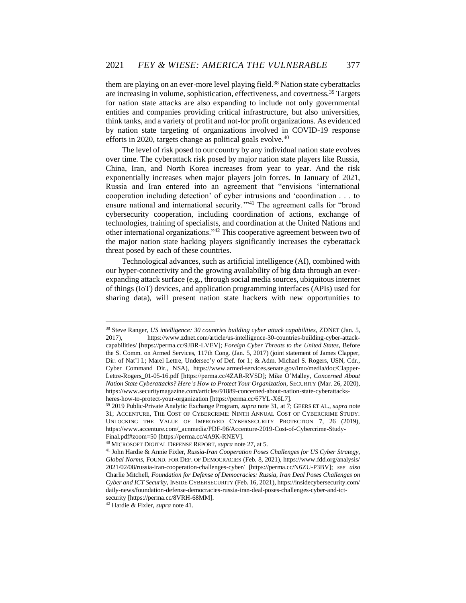them are playing on an ever-more level playing field.<sup>38</sup> Nation state cyberattacks are increasing in volume, sophistication, effectiveness, and covertness.<sup>39</sup> Targets for nation state attacks are also expanding to include not only governmental entities and companies providing critical infrastructure, but also universities, think tanks, and a variety of profit and not-for profit organizations. As evidenced by nation state targeting of organizations involved in COVID-19 response efforts in 2020, targets change as political goals evolve.<sup>40</sup>

The level of risk posed to our country by any individual nation state evolves over time. The cyberattack risk posed by major nation state players like Russia, China, Iran, and North Korea increases from year to year. And the risk exponentially increases when major players join forces. In January of 2021, Russia and Iran entered into an agreement that "envisions 'international cooperation including detection' of cyber intrusions and 'coordination . . . to ensure national and international security."<sup>41</sup> The agreement calls for "broad cybersecurity cooperation, including coordination of actions, exchange of technologies, training of specialists, and coordination at the United Nations and other international organizations."<sup>42</sup> This cooperative agreement between two of the major nation state hacking players significantly increases the cyberattack threat posed by each of these countries.

Technological advances, such as artificial intelligence (AI), combined with our hyper-connectivity and the growing availability of big data through an everexpanding attack surface (e.g., through social media sources, ubiquitous internet of things (IoT) devices, and application programming interfaces (APIs) used for sharing data), will present nation state hackers with new opportunities to

<sup>38</sup> Steve Ranger, *US intelligence: 30 countries building cyber attack capabilities*, ZDNET (Jan. 5, 2017), https://www.zdnet.com/article/us-intelligence-30-countries-building-cyber-attackcapabilities/ [https://perma.cc/9JBR-LVEV]; *Foreign Cyber Threats to the United States*, Before the S. Comm. on Armed Services, 117th Cong. (Jan. 5, 2017) (joint statement of James Clapper, Dir. of Nat'l I.; Marel Lettre, Undersec'y of Def. for I.; & Adm. Michael S. Rogers, USN, Cdr., Cyber Command Dir., NSA), [https://www.armed-services.senate.gov/imo/media/doc/Clapper-](https://www.armed-services.senate.gov/imo/media/doc/Clapper-Lettre-Rogers_01-05-16.pdf)[Lettre-Rogers\\_01-05-16.pdf](https://www.armed-services.senate.gov/imo/media/doc/Clapper-Lettre-Rogers_01-05-16.pdf) [https://perma.cc/4ZAR-RVSD]; Mike O'Malley, *Concerned About Nation State Cyberattacks? Here's How to Protect Your Organization*, SECURITY (Mar. 26, 2020), https://www.securitymagazine.com/articles/91889-concerned-about-nation-state-cyberattacksheres-how-to-protect-your-organization [https://perma.cc/67YL-X6L7].

<sup>39</sup> 2019 Public-Private Analytic Exchange Program, *supra* note 31, at 7; GEERS ET AL., *supra* note 31; ACCENTURE, THE COST OF CYBERCRIME: NINTH ANNUAL COST OF CYBERCRIME STUDY: UNLOCKING THE VALUE OF IMPROVED CYBERSECURITY PROTECTION 7, 26 (2019), https://www.accenture.com/\_acnmedia/PDF-96/Accenture-2019-Cost-of-Cybercrime-Study-Final.pdf#zoom=50 [https://perma.cc/4A9K-RNEV].

<sup>40</sup> MICROSOFT DIGITAL DEFENSE REPORT, *supra* note 27, at 5.

<sup>41</sup> John Hardie & Annie Fixler, *Russia-Iran Cooperation Poses Challenges for US Cyber Strategy, Global Norms*, FOUND. FOR DEF. OF DEMOCRACIES (Feb. 8, 2021), https://www.fdd.org/analysis/ 2021/02/08/russia-iran-cooperation-challenges-cyber/ [https://perma.cc/N6ZU-P3BV]; *see also* Charlie Mitchell, *Foundation for Defense of Democracies: Russia, Iran Deal Poses Challenges on Cyber and ICT Security*, INSIDE CYBERSECURITY (Feb. 16, 2021), https://insidecybersecurity.com/ daily-news/foundation-defense-democracies-russia-iran-deal-poses-challenges-cyber-and-ictsecurity [https://perma.cc/8VRH-68MM].

<sup>42</sup> Hardie & Fixler, *supra* note 41.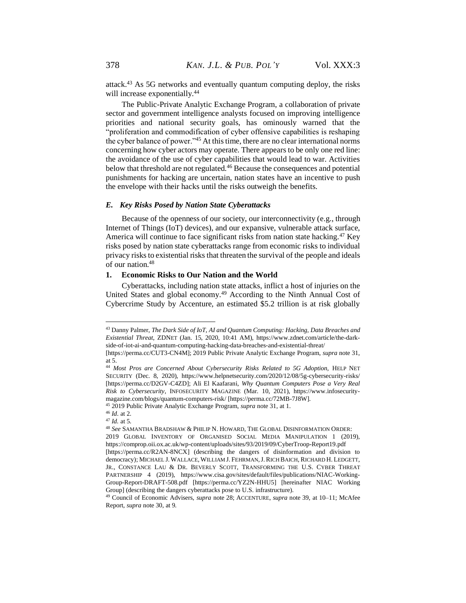attack.<sup>43</sup> As 5G networks and eventually quantum computing deploy, the risks will increase exponentially.<sup>44</sup>

The Public-Private Analytic Exchange Program, a collaboration of private sector and government intelligence analysts focused on improving intelligence priorities and national security goals, has ominously warned that the "proliferation and commodification of cyber offensive capabilities is reshaping the cyber balance of power."<sup>45</sup> At this time, there are no clear international norms concerning how cyber actors may operate. There appears to be only one red line: the avoidance of the use of cyber capabilities that would lead to war. Activities below that threshold are not regulated.<sup>46</sup> Because the consequences and potential punishments for hacking are uncertain, nation states have an incentive to push the envelope with their hacks until the risks outweigh the benefits.

### *E. Key Risks Posed by Nation State Cyberattacks*

Because of the openness of our society, our interconnectivity (e.g., through Internet of Things (IoT) devices), and our expansive, vulnerable attack surface, America will continue to face significant risks from nation state hacking.<sup>47</sup> Key risks posed by nation state cyberattacks range from economic risks to individual privacy risks to existential risks that threaten the survival of the people and ideals of our nation.<sup>48</sup>

#### **1. Economic Risks to Our Nation and the World**

Cyberattacks, including nation state attacks, inflict a host of injuries on the United States and global economy.<sup>49</sup> According to the Ninth Annual Cost of Cybercrime Study by Accenture, an estimated \$5.2 trillion is at risk globally

<sup>43</sup> Danny Palmer, *The Dark Side of IoT, AI and Quantum Computing: Hacking, Data Breaches and Existential Threat*, ZDNET (Jan. 15, 2020, 10:41 AM), https://www.zdnet.com/article/the-darkside-of-iot-ai-and-quantum-computing-hacking-data-breaches-and-existential-threat/

<sup>[</sup>https://perma.cc/CUT3-CN4M]; 2019 Public Private Analytic Exchange Program, *supra* note 31, at 5.

<sup>44</sup> *Most Pros are Concerned About Cybersecurity Risks Related to 5G Adoption*, HELP NET SECURITY (Dec. 8, 2020), https://www.helpnetsecurity.com/2020/12/08/5g-cybersecurity-risks/ [https://perma.cc/D2GV-C4ZD]; Ali El Kaafarani, *Why Quantum Computers Pose a Very Real Risk to Cybersecurity*, INFOSECURITY MAGAZINE (Mar. 10, 2021), https://www.infosecuritymagazine.com/blogs/quantum-computers-risk/ [https://perma.cc/72MB-7J8W].

<sup>45</sup> 2019 Public Private Analytic Exchange Program, *supra* note 31, at 1.

<sup>46</sup> *Id*. at 2.

<sup>47</sup> *Id.* at 5.

<sup>48</sup> *See* SAMANTHA BRADSHAW & PHILIP N. HOWARD, THE GLOBAL DISINFORMATION ORDER: 2019 GLOBAL INVENTORY OF ORGANISED SOCIAL MEDIA MANIPULATION 1 (2019),

https://comprop.oii.ox.ac.uk/wp-content/uploads/sites/93/2019/09/CyberTroop-Report19.pdf [https://perma.cc/R2AN-8NCX] (describing the dangers of disinformation and division to democracy); MICHAEL J. WALLACE, WILLIAM J. FEHRMAN,J.RICH BAICH, RICHARD H. LEDGETT, JR., CONSTANCE LAU & DR. BEVERLY SCOTT, TRANSFORMING THE U.S. CYBER THREAT

PARTNERSHIP 4 (2019), https://www.cisa.gov/sites/default/files/publications/NIAC-Working-Group-Report-DRAFT-508.pdf [https://perma.cc/YZ2N-HHU5] [hereinafter NIAC Working Group] (describing the dangers cyberattacks pose to U.S. infrastructure).

<sup>49</sup> Council of Economic Advisers, *supra* note 28; ACCENTURE, *supra* note 39, at 10–11; McAfee Report, *supra* note 30, at 9.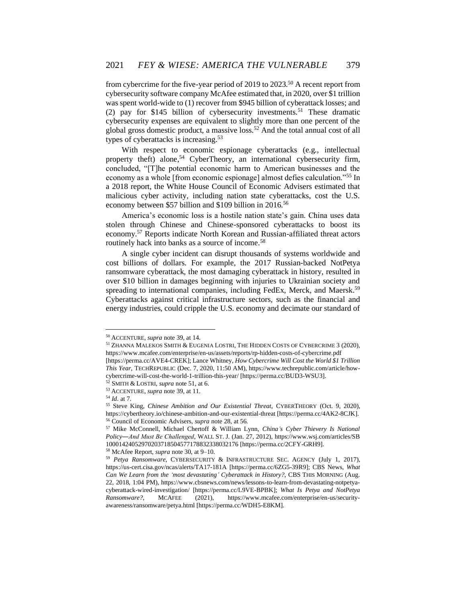from cybercrime for the five-year period of 2019 to 2023.<sup>50</sup> A recent report from cybersecurity software company McAfee estimated that, in 2020, over \$1 trillion was spent world-wide to (1) recover from \$945 billion of cyberattack losses; and (2) pay for \$145 billion of cybersecurity investments.<sup>51</sup> These dramatic cybersecurity expenses are equivalent to slightly more than one percent of the global gross domestic product, a massive loss.<sup>52</sup> And the total annual cost of all types of cyberattacks is increasing.<sup>53</sup>

With respect to economic espionage cyberattacks (e.g., intellectual property theft) alone,<sup>54</sup> CyberTheory, an international cybersecurity firm, concluded, "[T]he potential economic harm to American businesses and the economy as a whole [from economic espionage] almost defies calculation."<sup>55</sup> In a 2018 report, the White House Council of Economic Advisers estimated that malicious cyber activity, including nation state cyberattacks, cost the U.S. economy between \$57 billion and \$109 billion in 2016.<sup>56</sup>

America's economic loss is a hostile nation state's gain. China uses data stolen through Chinese and Chinese-sponsored cyberattacks to boost its economy.<sup>57</sup> Reports indicate North Korean and Russian-affiliated threat actors routinely hack into banks as a source of income.<sup>58</sup>

A single cyber incident can disrupt thousands of systems worldwide and cost billions of dollars. For example, the 2017 Russian-backed NotPetya ransomware cyberattack, the most damaging cyberattack in history, resulted in over \$10 billion in damages beginning with injuries to Ukrainian society and spreading to international companies, including FedEx, Merck, and Maersk.<sup>59</sup> Cyberattacks against critical infrastructure sectors, such as the financial and energy industries, could cripple the U.S. economy and decimate our standard of

<sup>50</sup> ACCENTURE, *supra* note 39, at 14.

<sup>51</sup> ZHANNA MALEKOS SMITH & EUGENIA LOSTRI, THE HIDDEN COSTS OF CYBERCRIME 3 (2020), https://www.mcafee.com/enterprise/en-us/assets/reports/rp-hidden-costs-of-cybercrime.pdf [https://perma.cc/AVE4-CREK]; Lance Whitney, *How Cybercrime Will Cost the World \$1 Trillion This Year*, TECHREPUBLIC (Dec. 7, 2020, 11:50 AM), https://www.techrepublic.com/article/how-

cybercrime-will-cost-the-world-1-trillion-this-year/ [https://perma.cc/BUD3-WSU3].

<sup>52</sup> SMITH & LOSTRI, *supra* note 51, at 6. <sup>53</sup> ACCENTURE, *supra* note 39, at 11.

<sup>54</sup> *Id*. at 7.

<sup>55</sup> Steve King, *Chinese Ambition and Our Existential Threat*, CYBERTHEORY (Oct. 9, 2020), https://cybertheory.io/chinese-ambition-and-our-existential-threat [https://perma.cc/4AK2-8CJK]. <sup>56</sup> Council of Economic Advisers, *supra* note 28, at 56.

<sup>57</sup> Mike McConnell, Michael Chertoff & William Lynn, *China's Cyber Thievery Is National Policy―And Must Be Challenged*, WALL ST. J. (Jan. 27, 2012), https://www.wsj.com/articles/SB 10001424052970203718504577178832338032176 [https://perma.cc/2CFY-GRH9].

<sup>58</sup> McAfee Report, *supra* note 30, at 9–10.

<sup>59</sup> *Petya Ransomware*, CYBERSECURITY & INFRASTRUCTURE SEC. AGENCY (July 1, 2017), https://us-cert.cisa.gov/ncas/alerts/TA17-181A [https://perma.cc/6ZG5-39R9]; CBS News, *What Can We Learn from the 'most devastating' Cyberattack in History?*, CBS THIS MORNING (Aug. 22, 2018, 1:04 PM), https://www.cbsnews.com/news/lessons-to-learn-from-devastating-notpetyacyberattack-wired-investigation/ [https://perma.cc/L9VE-BPBK]; *What Is Petya and NotPetya Ransomware?*, MCAFEE (2021), https://www.mcafee.com/enterprise/en-us/securityawareness/ransomware/petya.html [https://perma.cc/WDH5-E8KM].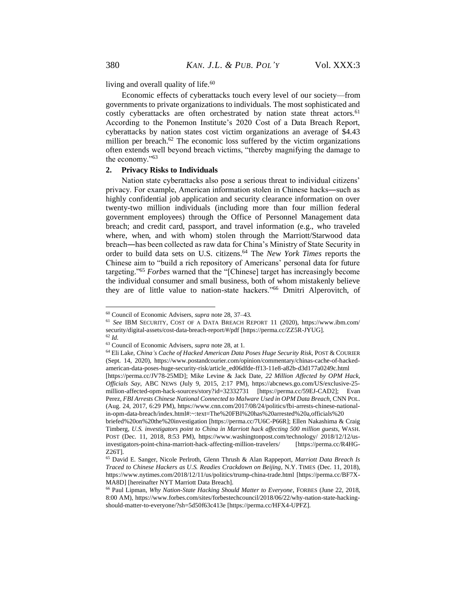living and overall quality of life.<sup>60</sup>

Economic effects of cyberattacks touch every level of our society—from governments to private organizations to individuals. The most sophisticated and costly cyberattacks are often orchestrated by nation state threat actors.<sup>61</sup> According to the Ponemon Institute's 2020 Cost of a Data Breach Report, cyberattacks by nation states cost victim organizations an average of \$4.43 million per breach. $62$  The economic loss suffered by the victim organizations often extends well beyond breach victims, "thereby magnifying the damage to the economy."<sup>63</sup>

#### **2. Privacy Risks to Individuals**

Nation state cyberattacks also pose a serious threat to individual citizens' privacy. For example, American information stolen in Chinese hacks―such as highly confidential job application and security clearance information on over twenty-two million individuals (including more than four million federal government employees) through the Office of Personnel Management data breach; and credit card, passport, and travel information (e.g., who traveled where, when, and with whom) stolen through the Marriott/Starwood data breach―has been collected as raw data for China's Ministry of State Security in order to build data sets on U.S. citizens.<sup>64</sup> The *New York Times* reports the Chinese aim to "build a rich repository of Americans' personal data for future targeting."<sup>65</sup> *Forbes* warned that the "[Chinese] target has increasingly become the individual consumer and small business, both of whom mistakenly believe they are of little value to nation-state hackers."<sup>66</sup> Dmitri Alperovitch, of

<sup>60</sup> Council of Economic Advisers, *supra* note 28, 37–43.

<sup>61</sup> *See* IBM SECURITY, COST OF A DATA BREACH REPORT 11 (2020), https://www.ibm.com/ security/digital-assets/cost-data-breach-report/#/pdf [https://perma.cc/ZZ5R-JYUG]. <sup>62</sup> *Id.*

<sup>63</sup> Council of Economic Advisers, *supra* note 28, at 1.

<sup>64</sup> Eli Lake, *China's Cache of Hacked American Data Poses Huge Security Risk*, POST & COURIER (Sept. 14, 2020), https://www.postandcourier.com/opinion/commentary/chinas-cache-of-hackedamerican-data-poses-huge-security-risk/article\_ed06dfde-ff13-11e8-a82b-d3d177a0249c.html [https://perma.cc/JV78-25MD]; Mike Levine & Jack Date, *22 Million Affected by OPM Hack,* 

*Officials Say*, ABC NEWS (July 9, 2015, 2:17 PM), https://abcnews.go.com/US/exclusive-25 million-affected-opm-hack-sources/story?id=32332731 [https://perma.cc/59EJ-CAD2]; Evan Perez, *FBI Arrests Chinese National Connected to Malware Used in OPM Data Breach*, CNN POL. (Aug. 24, 2017, 6:29 PM), https://www.cnn.com/2017/08/24/politics/fbi-arrests-chinese-nationalin-opm-data-breach/index.html#:~:text=The%20FBI%20has%20arrested%20a,officials%20

briefed%20on%20the%20investigation [https://perma.cc/7U6C-P66R]; Ellen Nakashima & Craig Timberg, *U.S. investigators point to China in Marriott hack affecting 500 million guests*, WASH. POST (Dec. 11, 2018, 8:53 PM), https://www.washingtonpost.com/technology/ 2018/12/12/usinvestigators-point-china-marriott-hack-affecting-million-travelers/ [https://perma.cc/R4HG-Z26T].

<sup>65</sup> David E. Sanger, Nicole Perlroth, Glenn Thrush & Alan Rappeport*, Marriott Data Breach Is Traced to Chinese Hackers as U.S. Readies Crackdown on Beijing*, N.Y. TIMES (Dec. 11, 2018), https://www.nytimes.com/2018/12/11/us/politics/trump-china-trade.html [https://perma.cc/BF7X-MA8D] [hereinafter NYT Marriott Data Breach].

<sup>66</sup> Paul Lipman, *Why Nation-State Hacking Should Matter to Everyone*, FORBES (June 22, 2018, 8:00 AM), https://www.forbes.com/sites/forbestechcouncil/2018/06/22/why-nation-state-hackingshould-matter-to-everyone/?sh=5d50f63c413e [https://perma.cc/HFX4-UPFZ].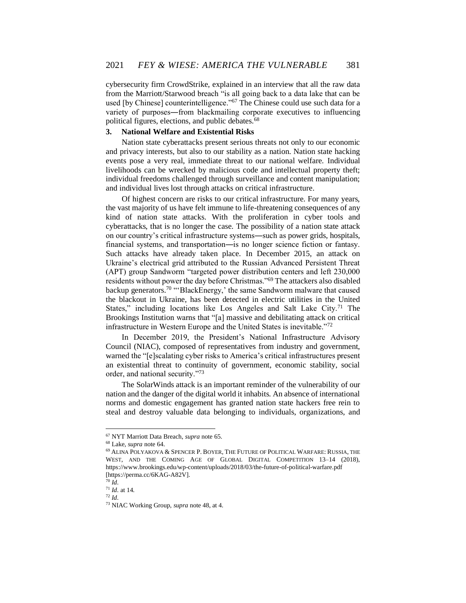cybersecurity firm CrowdStrike, explained in an interview that all the raw data from the Marriott/Starwood breach "is all going back to a data lake that can be used [by Chinese] counterintelligence."<sup>67</sup> The Chinese could use such data for a variety of purposes―from blackmailing corporate executives to influencing political figures, elections, and public debates.<sup>68</sup>

# **3. National Welfare and Existential Risks**

Nation state cyberattacks present serious threats not only to our economic and privacy interests, but also to our stability as a nation. Nation state hacking events pose a very real, immediate threat to our national welfare. Individual livelihoods can be wrecked by malicious code and intellectual property theft; individual freedoms challenged through surveillance and content manipulation; and individual lives lost through attacks on critical infrastructure.

Of highest concern are risks to our critical infrastructure. For many years, the vast majority of us have felt immune to life-threatening consequences of any kind of nation state attacks. With the proliferation in cyber tools and cyberattacks, that is no longer the case. The possibility of a nation state attack on our country's critical infrastructure systems―such as power grids, hospitals, financial systems, and transportation―is no longer science fiction or fantasy. Such attacks have already taken place. In December 2015, an attack on Ukraine's electrical grid attributed to the Russian Advanced Persistent Threat (APT) group Sandworm "targeted power distribution centers and left 230,000 residents without power the day before Christmas."<sup>69</sup> The attackers also disabled backup generators.<sup>70</sup> "'BlackEnergy,' the same Sandworm malware that caused the blackout in Ukraine, has been detected in electric utilities in the United States," including locations like Los Angeles and Salt Lake City.<sup>71</sup> The Brookings Institution warns that "[a] massive and debilitating attack on critical infrastructure in Western Europe and the United States is inevitable."<sup>72</sup>

In December 2019, the President's National Infrastructure Advisory Council (NIAC), composed of representatives from industry and government, warned the "[e]scalating cyber risks to America's critical infrastructures present an existential threat to continuity of government, economic stability, social order, and national security."<sup>73</sup>

The SolarWinds attack is an important reminder of the vulnerability of our nation and the danger of the digital world it inhabits. An absence of international norms and domestic engagement has granted nation state hackers free rein to steal and destroy valuable data belonging to individuals, organizations, and

<sup>67</sup> NYT Marriott Data Breach, *supra* note 65.

<sup>68</sup> Lake, *supra* note 64.

<sup>69</sup> ALINA POLYAKOVA & SPENCER P. BOYER, THE FUTURE OF POLITICAL WARFARE: RUSSIA, THE WEST, AND THE COMING AGE OF GLOBAL DIGITAL COMPETITION 13-14 (2018), https://www.brookings.edu/wp-content/uploads/2018/03/the-future-of-political-warfare.pdf [https://perma.cc/6KAG-A82V].

<sup>70</sup> *Id*.

<sup>71</sup> *Id*. at 14.

<sup>72</sup> *Id*.

<sup>73</sup> NIAC Working Group, *supra* note 48, at 4.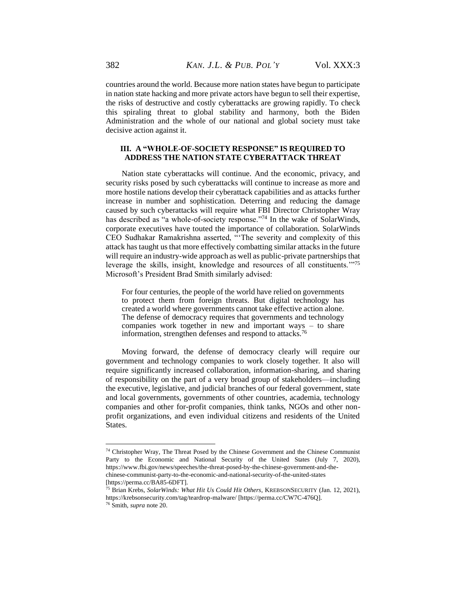countries around the world. Because more nation states have begun to participate in nation state hacking and more private actors have begun to sell their expertise, the risks of destructive and costly cyberattacks are growing rapidly. To check this spiraling threat to global stability and harmony, both the Biden Administration and the whole of our national and global society must take decisive action against it.

# **III. A "WHOLE-OF-SOCIETY RESPONSE" IS REQUIRED TO ADDRESS THE NATION STATE CYBERATTACK THREAT**

Nation state cyberattacks will continue. And the economic, privacy, and security risks posed by such cyberattacks will continue to increase as more and more hostile nations develop their cyberattack capabilities and as attacks further increase in number and sophistication. Deterring and reducing the damage caused by such cyberattacks will require what FBI Director Christopher Wray has described as "a whole-of-society response."<sup>74</sup> In the wake of SolarWinds, corporate executives have touted the importance of collaboration. SolarWinds CEO Sudhakar Ramakrishna asserted, "'The severity and complexity of this attack has taught us that more effectively combatting similar attacks in the future will require an industry-wide approach as well as public-private partnerships that leverage the skills, insight, knowledge and resources of all constituents.'"<sup>75</sup> Microsoft's President Brad Smith similarly advised:

For four centuries, the people of the world have relied on governments to protect them from foreign threats. But digital technology has created a world where governments cannot take effective action alone. The defense of democracy requires that governments and technology companies work together in new and important ways – to share information, strengthen defenses and respond to attacks.<sup>76</sup>

Moving forward, the defense of democracy clearly will require our government and technology companies to work closely together. It also will require significantly increased collaboration, information-sharing, and sharing of responsibility on the part of a very broad group of stakeholders—including the executive, legislative, and judicial branches of our federal government, state and local governments, governments of other countries, academia, technology companies and other for-profit companies, think tanks, NGOs and other nonprofit organizations, and even individual citizens and residents of the United States.

 $74$  Christopher Wray, The Threat Posed by the Chinese Government and the Chinese Communist Party to the Economic and National Security of the United States (July 7, 2020), https://www.fbi.gov/news/speeches/the-threat-posed-by-the-chinese-government-and-thechinese-communist-party-to-the-economic-and-national-security-of-the-united-states [https://perma.cc/BA85-6DFT].

<sup>75</sup> Brian Krebs, *SolarWinds: What Hit Us Could Hit Others*, KREBSONSECURITY (Jan. 12, 2021), https://krebsonsecurity.com/tag/teardrop-malware/ [https://perma.cc/CW7C-476Q].

<sup>76</sup> Smith, *supra* note 20.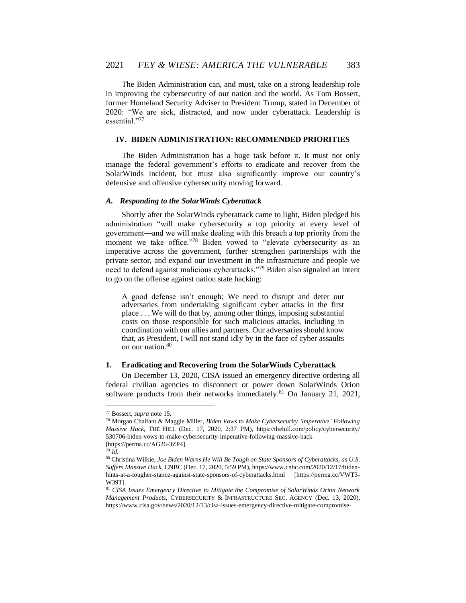The Biden Administration can, and must, take on a strong leadership role in improving the cybersecurity of our nation and the world. As Tom Bossert, former Homeland Security Adviser to President Trump, stated in December of 2020: "We are sick, distracted, and now under cyberattack. Leadership is essential."<sup>77</sup>

### **IV. BIDEN ADMINISTRATION: RECOMMENDED PRIORITIES**

The Biden Administration has a huge task before it. It must not only manage the federal government's efforts to eradicate and recover from the SolarWinds incident, but must also significantly improve our country's defensive and offensive cybersecurity moving forward.

### *A. Responding to the SolarWinds Cyberattack*

Shortly after the SolarWinds cyberattack came to light, Biden pledged his administration "will make cybersecurity a top priority at every level of government―and we will make dealing with this breach a top priority from the moment we take office."78 Biden vowed to "elevate cybersecurity as an imperative across the government, further strengthen partnerships with the private sector, and expand our investment in the infrastructure and people we need to defend against malicious cyberattacks."<sup>79</sup> Biden also signaled an intent to go on the offense against nation state hacking:

A good defense isn't enough; We need to disrupt and deter our adversaries from undertaking significant cyber attacks in the first place . . . We will do that by, among other things, imposing substantial costs on those responsible for such malicious attacks, including in coordination with our allies and partners. Our adversaries should know that, as President, I will not stand idly by in the face of cyber assaults on our nation.<sup>80</sup>

#### **1. Eradicating and Recovering from the SolarWinds Cyberattack**

On December 13, 2020, CISA issued an emergency directive ordering all federal civilian agencies to disconnect or power down SolarWinds Orion software products from their networks immediately.<sup>81</sup> On January 21, 2021,

<sup>77</sup> Bossert, *supra* note 15.

<sup>78</sup> Morgan Chalfant & Maggie Miller, *Biden Vows to Make Cybersecurity 'imperative' Following Massive Hack*, THE HILL (Dec. 17, 2020, 2:37 PM), https://thehill.com/policy/cybersecurity/ 530706-biden-vows-to-make-cybersecurity-imperative-following-massive-hack [https://perma.cc/AG26-3ZP4].

<sup>79</sup> *Id.*

<sup>80</sup> Christina Wilkie, *Joe Biden Warns He Will Be Tough on State Sponsors of Cyberattacks, as U.S. Suffers Massive Hack*, CNBC (Dec. 17, 2020, 5:59 PM), https://www.cnbc.com/2020/12/17/bidenhints-at-a-tougher-stance-against-state-sponsors-of-cyberattacks.html [https://perma.cc/VWT3- W39T].

<sup>81</sup> *CISA Issues Emergency Directive to Mitigate the Compromise of SolarWinds Orion Network Management Products*, CYBERSECURITY & INFRASTRUCTURE SEC. AGENCY (Dec. 13, 2020), https://www.cisa.gov/news/2020/12/13/cisa-issues-emergency-directive-mitigate-compromise-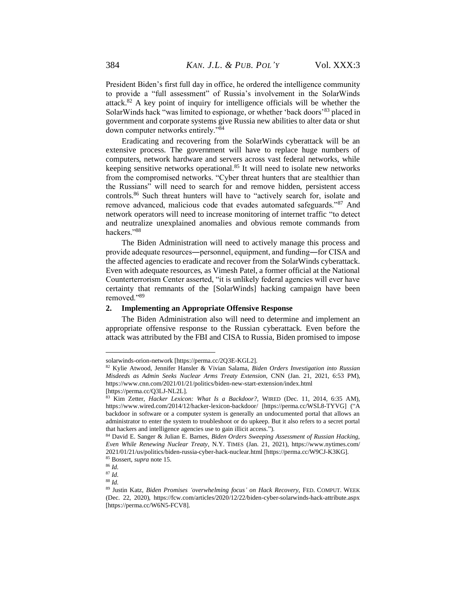President Biden's first full day in office, he ordered the intelligence community to provide a "full assessment" of Russia's involvement in the SolarWinds attack.<sup>82</sup> A key point of inquiry for intelligence officials will be whether the SolarWinds hack "was limited to espionage, or whether 'back doors'<sup>83</sup> placed in government and corporate systems give Russia new abilities to alter data or shut down computer networks entirely."<sup>84</sup>

Eradicating and recovering from the SolarWinds cyberattack will be an extensive process. The government will have to replace huge numbers of computers, network hardware and servers across vast federal networks, while keeping sensitive networks operational.<sup>85</sup> It will need to isolate new networks from the compromised networks. "Cyber threat hunters that are stealthier than the Russians" will need to search for and remove hidden, persistent access controls.<sup>86</sup> Such threat hunters will have to "actively search for, isolate and remove advanced, malicious code that evades automated safeguards."<sup>87</sup> And network operators will need to increase monitoring of internet traffic "to detect and neutralize unexplained anomalies and obvious remote commands from hackers<sup>"88</sup>

The Biden Administration will need to actively manage this process and provide adequate resources―personnel, equipment, and funding―for CISA and the affected agencies to eradicate and recover from the SolarWinds cyberattack. Even with adequate resources, as Vimesh Patel, a former official at the National Counterterrorism Center asserted, "it is unlikely federal agencies will ever have certainty that remnants of the [SolarWinds] hacking campaign have been removed."<sup>89</sup>

#### **2. Implementing an Appropriate Offensive Response**

The Biden Administration also will need to determine and implement an appropriate offensive response to the Russian cyberattack. Even before the attack was attributed by the FBI and CISA to Russia, Biden promised to impose

solarwinds-orion-network [https://perma.cc/2Q3E-KGL2].

<sup>82</sup> Kylie Atwood, Jennifer Hansler & Vivian Salama, *Biden Orders Investigation into Russian Misdeeds as Admin Seeks Nuclear Arms Treaty Extension*, CNN (Jan. 21, 2021, 6:53 PM), https://www.cnn.com/2021/01/21/politics/biden-new-start-extension/index.html

<sup>[</sup>https://perma.cc/Q3LJ-NL2L].

<sup>83</sup> Kim Zetter, *Hacker Lexicon: What Is a Backdoor?*, WIRED (Dec. 11, 2014, 6:35 AM), https://www.wired.com/2014/12/hacker-lexicon-backdoor/ [https://perma.cc/WSL8-TYVG] ("A backdoor in software or a computer system is generally an undocumented portal that allows an administrator to enter the system to troubleshoot or do upkeep. But it also refers to a secret portal that hackers and intelligence agencies use to gain illicit access.").

<sup>84</sup> David E. Sanger & Julian E. Barnes, *Biden Orders Sweeping Assessment of Russian Hacking, Even While Renewing Nuclear Treaty*, N.Y. TIMES (Jan. 21, 2021), https://www.nytimes.com/ 2021/01/21/us/politics/biden-russia-cyber-hack-nuclear.html [https://perma.cc/W9CJ-K3KG]. <sup>85</sup> Bossert, *supra* note 15.

<sup>86</sup> *Id.*

<sup>87</sup> *Id.*

<sup>88</sup> *Id.*

<sup>89</sup> Justin Katz, *Biden Promises 'overwhelming focus' on Hack Recovery*, FED. COMPUT. WEEK (Dec. 22, 2020), https://fcw.com/articles/2020/12/22/biden-cyber-solarwinds-hack-attribute.aspx [https://perma.cc/W6N5-FCV8].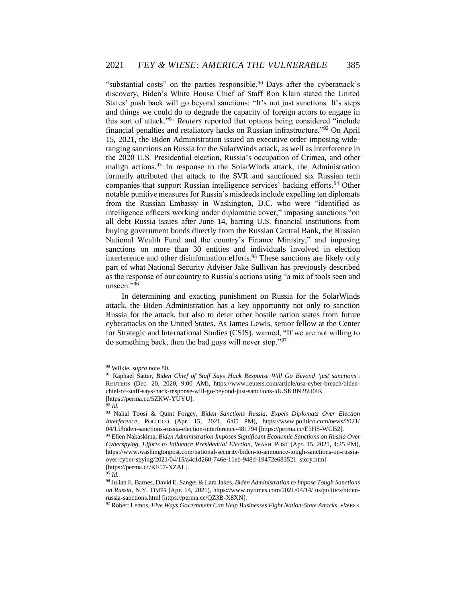"substantial costs" on the parties responsible.<sup>90</sup> Days after the cyberattack's discovery, Biden's White House Chief of Staff Ron Klain stated the United States' push back will go beyond sanctions: "It's not just sanctions. It's steps and things we could do to degrade the capacity of foreign actors to engage in this sort of attack."<sup>91</sup> *Reuters* reported that options being considered "include financial penalties and retaliatory hacks on Russian infrastructure."<sup>92</sup> On April 15, 2021, the Biden Administration issued an executive order imposing wideranging sanctions on Russia for the SolarWinds attack, as well as interference in the 2020 U.S. Presidential election, Russia's occupation of Crimea, and other malign actions.<sup>93</sup> In response to the SolarWinds attack, the Administration formally attributed that attack to the SVR and sanctioned six Russian tech companies that support Russian intelligence services' hacking efforts.<sup>94</sup> Other notable punitive measures for Russia's misdeeds include expelling ten diplomats from the Russian Embassy in Washington, D.C. who were "identified as intelligence officers working under diplomatic cover," imposing sanctions "on all debt Russia issues after June 14, barring U.S. financial institutions from buying government bonds directly from the Russian Central Bank, the Russian National Wealth Fund and the country's Finance Ministry," and imposing sanctions on more than 30 entities and individuals involved in election interference and other disinformation efforts.<sup>95</sup> These sanctions are likely only part of what National Security Adviser Jake Sullivan has previously described as the response of our country to Russia's actions using "a mix of tools seen and unseen."<sup>96</sup>

In determining and exacting punishment on Russia for the SolarWinds attack, the Biden Administration has a key opportunity not only to sanction Russia for the attack, but also to deter other hostile nation states from future cyberattacks on the United States. As James Lewis, senior fellow at the Center for Strategic and International Studies (CSIS), warned, "If we are not willing to do something back, then the bad guys will never stop."<sup>97</sup>

<sup>92</sup> *Id.*

<sup>90</sup> Wilkie, *supra* note 80.

<sup>91</sup> Raphael Satter, *Biden Chief of Staff Says Hack Response Will Go Beyond 'just sanctions'*, REUTERS (Dec. 20, 2020, 9:00 AM), https://www.reuters.com/article/usa-cyber-breach/bidenchief-of-staff-says-hack-response-will-go-beyond-just-sanctions-idUSKBN28U0IK [https://perma.cc/5ZKW-YUYU].

<sup>93</sup> Nahal Toosi & Quint Forgey, *Biden Sanctions Russia, Expels Diplomats Over Election Interference*, POLITICO (Apr. 15, 2021, 6:05 PM), https://www.politico.com/news/2021/ 04/15/biden-sanctions-russia-election-interference-481794 [https://perma.cc/E5HS-WGB2].

<sup>94</sup> Ellen Nakaskima, *Biden Administration Imposes Significant Economic Sanctions on Russia Over Cyberspying, Efforts to Influence Presidential Election*, WASH. POST (Apr. 15, 2021, 4:25 PM), https://www.washingtonpost.com/national-security/biden-to-announce-tough-sanctions-on-russiaover-cyber-spying/2021/04/15/a4c1d260-746e-11eb-948d-19472e683521\_story.html [https://perma.cc/KF57-NZAL].

<sup>95</sup> *Id.*

<sup>96</sup> Julian E. Barnes, David E. Sanger & Lara Jakes, *Biden Administration to Impose Tough Sanctions on Russia*, N.Y. TIMES (Apr. 14, 2021), https://www.nytimes.com/2021/04/14/ us/politics/bidenrussia-sanctions.html [https://perma.cc/QZ3B-X8XN].

<sup>97</sup> Robert Lemos, *Five Ways Government Can Help Businesses Fight Nation-State Attacks*, EWEEK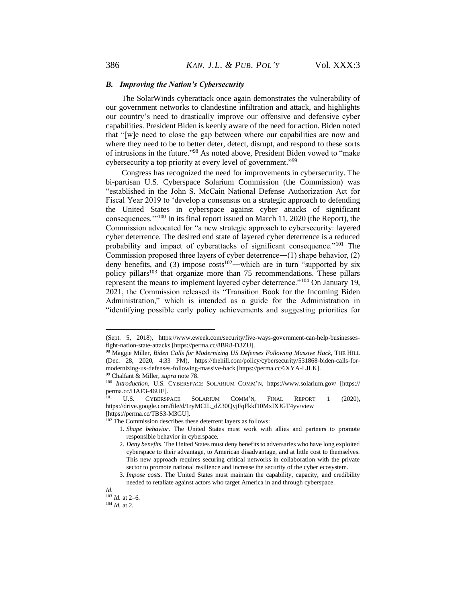#### *B. Improving the Nation's Cybersecurity*

The SolarWinds cyberattack once again demonstrates the vulnerability of our government networks to clandestine infiltration and attack, and highlights our country's need to drastically improve our offensive and defensive cyber capabilities. President Biden is keenly aware of the need for action. Biden noted that "[w]e need to close the gap between where our capabilities are now and where they need to be to better deter, detect, disrupt, and respond to these sorts of intrusions in the future."<sup>98</sup> As noted above, President Biden vowed to "make cybersecurity a top priority at every level of government."<sup>99</sup>

Congress has recognized the need for improvements in cybersecurity. The bi-partisan U.S. Cyberspace Solarium Commission (the Commission) was "established in the John S. McCain National Defense Authorization Act for Fiscal Year 2019 to 'develop a consensus on a strategic approach to defending the United States in cyberspace against cyber attacks of significant consequences.'"<sup>100</sup> In its final report issued on March 11, 2020 (the Report), the Commission advocated for "a new strategic approach to cybersecurity: layered cyber deterrence. The desired end state of layered cyber deterrence is a reduced probability and impact of cyberattacks of significant consequence."<sup>101</sup> The Commission proposed three layers of cyber deterrence―(1) shape behavior, (2) deny benefits, and (3) impose  $costs^{102}$ —which are in turn "supported by six policy pillars<sup>103</sup> that organize more than 75 recommendations. These pillars represent the means to implement layered cyber deterrence."<sup>104</sup> On January 19, 2021, the Commission released its "Transition Book for the Incoming Biden Administration," which is intended as a guide for the Administration in "identifying possible early policy achievements and suggesting priorities for

<sup>(</sup>Sept. 5, 2018), https://www.eweek.com/security/five-ways-government-can-help-businessesfight-nation-state-attacks [https://perma.cc/8BR8-D3ZU].

<sup>98</sup> Maggie Miller, *Biden Calls for Modernizing US Defenses Following Massive Hack*, THE HILL (Dec. 28, 2020, 4:33 PM), [https://thehill.com/policy/cybersecurity/531868-biden-calls-for](https://thehill.com/policy/cybersecurity/531868-biden-calls-for-modernizing-us-defenses-following-massive-hack)[modernizing-us-defenses-following-massive-hack](https://thehill.com/policy/cybersecurity/531868-biden-calls-for-modernizing-us-defenses-following-massive-hack) [https://perma.cc/6XYA-LJLK]. <sup>99</sup> Chalfant & Miller, *supra* note 78.

<sup>100</sup> *Introduction*, U.S. CYBERSPACE SOLARIUM COMM'N, https://www.solarium.gov/ [https:// perma.cc/HAF3-46UE].

<sup>101</sup> U.S. CYBERSPACE SOLARIUM COMM'N, FINAL REPORT 1 (2020), [https://drive.google.com/file/d/1ryMCIL\\_dZ30QyjFqFkkf10MxIXJGT4yv/view](https://drive.google.com/file/d/1ryMCIL_dZ30QyjFqFkkf10MxIXJGT4yv/view) [https://perma.cc/TBS3-M3GU].

<sup>&</sup>lt;sup>102</sup> The Commission describes these deterrent layers as follows:

<sup>1.</sup> *Shape behavior*. The United States must work with allies and partners to promote responsible behavior in cyberspace.

<sup>2.</sup> *Deny benefits*. The United States must deny benefits to adversaries who have long exploited cyberspace to their advantage, to American disadvantage, and at little cost to themselves. This new approach requires securing critical networks in collaboration with the private sector to promote national resilience and increase the security of the cyber ecosystem.

<sup>3.</sup> *Impose costs*. The United States must maintain the capability, capacity, and credibility needed to retaliate against actors who target America in and through cyberspace.

*Id.*  $103$  *Id.* at 2–6.

<sup>104</sup> *Id.* at 2.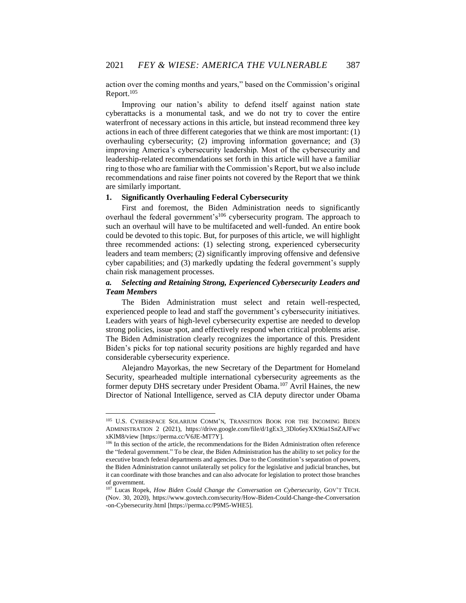action over the coming months and years," based on the Commission's original Report.<sup>105</sup>

Improving our nation's ability to defend itself against nation state cyberattacks is a monumental task, and we do not try to cover the entire waterfront of necessary actions in this article, but instead recommend three key actions in each of three different categories that we think are most important: (1) overhauling cybersecurity; (2) improving information governance; and (3) improving America's cybersecurity leadership. Most of the cybersecurity and leadership-related recommendations set forth in this article will have a familiar ring to those who are familiar with the Commission's Report, but we also include recommendations and raise finer points not covered by the Report that we think are similarly important.

### **1. Significantly Overhauling Federal Cybersecurity**

First and foremost, the Biden Administration needs to significantly overhaul the federal government's<sup>106</sup> cybersecurity program. The approach to such an overhaul will have to be multifaceted and well-funded. An entire book could be devoted to this topic. But, for purposes of this article, we will highlight three recommended actions: (1) selecting strong, experienced cybersecurity leaders and team members; (2) significantly improving offensive and defensive cyber capabilities; and (3) markedly updating the federal government's supply chain risk management processes.

# *a. Selecting and Retaining Strong, Experienced Cybersecurity Leaders and Team Members*

The Biden Administration must select and retain well-respected, experienced people to lead and staff the government's cybersecurity initiatives. Leaders with years of high-level cybersecurity expertise are needed to develop strong policies, issue spot, and effectively respond when critical problems arise. The Biden Administration clearly recognizes the importance of this. President Biden's picks for top national security positions are highly regarded and have considerable cybersecurity experience.

Alejandro Mayorkas, the new Secretary of the Department for Homeland Security, spearheaded multiple international cybersecurity agreements as the former deputy DHS secretary under President Obama.<sup>107</sup> Avril Haines, the new Director of National Intelligence, served as CIA deputy director under Obama

<sup>105</sup> U.S. CYBERSPACE SOLARIUM COMM'N, TRANSITION BOOK FOR THE INCOMING BIDEN ADMINISTRATION 2 (2021), [https://drive.google.com/file/d/1gEx3\\_3Dlo6eyXX9tia1SnZAJFwc](https://drive.google.com/file/d/1gEx3_3Dlo6eyXX9tia1SnZAJFwcxKlM8/view) [xKlM8/view](https://drive.google.com/file/d/1gEx3_3Dlo6eyXX9tia1SnZAJFwcxKlM8/view) [https://perma.cc/V6JE-MT7Y].

<sup>&</sup>lt;sup>106</sup> In this section of the article, the recommendations for the Biden Administration often reference the "federal government." To be clear, the Biden Administration has the ability to set policy for the executive branch federal departments and agencies. Due to the Constitution's separation of powers, the Biden Administration cannot unilaterally set policy for the legislative and judicial branches, but it can coordinate with those branches and can also advocate for legislation to protect those branches of government.

<sup>107</sup> Lucas Ropek, *How Biden Could Change the Conversation on Cybersecurity*, GOV'T TECH. (Nov. 30, 2020), https://www.govtech.com/security/How-Biden-Could-Change-the-Conversation -on-Cybersecurity.html [https://perma.cc/P9M5-WHE5].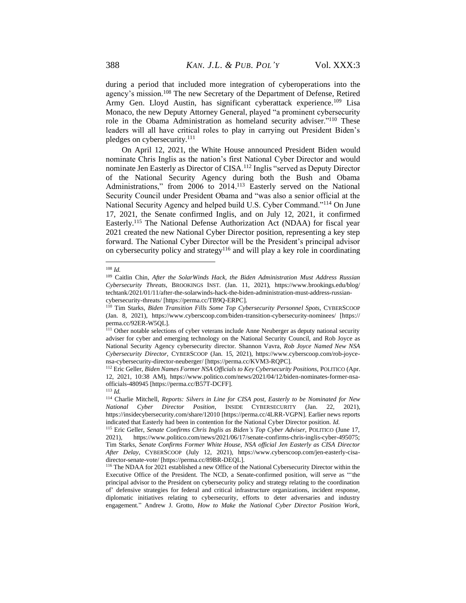during a period that included more integration of cyberoperations into the agency's mission.<sup>108</sup> The new Secretary of the Department of Defense, Retired Army Gen. Lloyd Austin, has significant cyberattack experience.<sup>109</sup> Lisa Monaco, the new Deputy Attorney General, played "a prominent cybersecurity role in the Obama Administration as homeland security adviser."<sup>110</sup> These leaders will all have critical roles to play in carrying out President Biden's pledges on cybersecurity.<sup>111</sup>

On April 12, 2021, the White House announced President Biden would nominate Chris Inglis as the nation's first National Cyber Director and would nominate Jen Easterly as Director of CISA.<sup>112</sup> Inglis "served as Deputy Director of the National Security Agency during both the Bush and Obama Administrations," from 2006 to 2014.<sup>113</sup> Easterly served on the National Security Council under President Obama and "was also a senior official at the National Security Agency and helped build U.S. Cyber Command."<sup>114</sup> On June 17, 2021, the Senate confirmed Inglis, and on July 12, 2021, it confirmed Easterly.<sup>115</sup> The National Defense Authorization Act (NDAA) for fiscal year 2021 created the new National Cyber Director position, representing a key step forward. The National Cyber Director will be the President's principal advisor on cybersecurity policy and strategy<sup>116</sup> and will play a key role in coordinating

<sup>108</sup> *Id.*

<sup>109</sup> Caitlin Chin, *After the SolarWinds Hack, the Biden Administration Must Address Russian Cybersecurity Threats*, BROOKINGS INST. (Jan. 11, 2021), https://www.brookings.edu/blog/ techtank/2021/01/11/after-the-solarwinds-hack-the-biden-administration-must-address-russiancybersecurity-threats/ [https://perma.cc/TB9Q-ERPC].

<sup>110</sup> Tim Starks, *Biden Transition Fills Some Top Cybersecurity Personnel Spots*, CYBERSCOOP (Jan. 8, 2021), <https://www.cyberscoop.com/biden-transition-cybersecurity-nominees/> [https:// perma.cc/92ER-W5QL].

<sup>&</sup>lt;sup>111</sup> Other notable selections of cyber veterans include Anne Neuberger as deputy national security adviser for cyber and emerging technology on the National Security Council, and Rob Joyce as National Security Agency cybersecurity director. Shannon Vavra, *Rob Joyce Named New NSA Cybersecurity Director*, CYBERSCOOP (Jan. 15, 2021), [https://www.cyberscoop.com/rob-joyce](https://www.cyberscoop.com/rob-joyce-nsa-cybersecurity-director-neuberger/)[nsa-cybersecurity-director-neuberger/](https://www.cyberscoop.com/rob-joyce-nsa-cybersecurity-director-neuberger/) [https://perma.cc/KVM3-RQPC].

<sup>112</sup> Eric Geller, *Biden Names Former NSA Officials to Key Cybersecurity Positions*, POLITICO (Apr. 12, 2021, 10:38 AM), https://www.politico.com/news/2021/04/12/biden-nominates-former-nsaofficials-480945 [https://perma.cc/B57T-DCFF].

<sup>113</sup> *Id.*

<sup>114</sup> Charlie Mitchell, *Reports: Silvers in Line for CISA post, Easterly to be Nominated for New National Cyber Director Position*, INSIDE CYBERSECURITY (Jan. 22, 2021), https://insidecybersecurity.com/share/12010 [https://perma.cc/4LRR-VGPN]. Earlier news reports indicated that Easterly had been in contention for the National Cyber Director position. *Id.*

<sup>115</sup> Eric Geller, *Senate Confirms Chris Inglis as Biden's Top Cyber Adviser*, POLITICO (June 17, 2021), https://www.politico.com/news/2021/06/17/senate-confirms-chris-inglis-cyber-495075; Tim Starks, *Senate Confirms Former White House, NSA official Jen Easterly as CISA Director After Delay*, CYBERSCOOP (July 12, 2021), https://www.cyberscoop.com/jen-easterly-cisadirector-senate-vote/ [https://perma.cc/89BR-DEQL].

<sup>116</sup> The NDAA for 2021 established a new Office of the National Cybersecurity Director within the Executive Office of the President. The NCD, a Senate-confirmed position, will serve as "'the principal advisor to the President on cybersecurity policy and strategy relating to the coordination of' defensive strategies for federal and critical infrastructure organizations, incident response, diplomatic initiatives relating to cybersecurity, efforts to deter adversaries and industry engagement." Andrew J. Grotto, *How to Make the National Cyber Director Position Work*,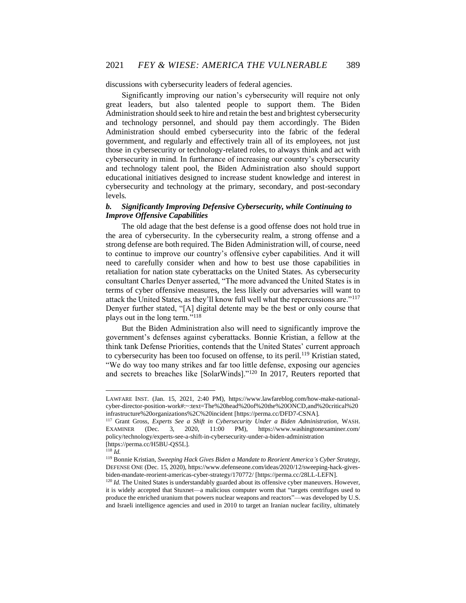discussions with cybersecurity leaders of federal agencies.

Significantly improving our nation's cybersecurity will require not only great leaders, but also talented people to support them. The Biden Administration should seek to hire and retain the best and brightest cybersecurity and technology personnel, and should pay them accordingly. The Biden Administration should embed cybersecurity into the fabric of the federal government, and regularly and effectively train all of its employees, not just those in cybersecurity or technology-related roles, to always think and act with cybersecurity in mind. In furtherance of increasing our country's cybersecurity and technology talent pool, the Biden Administration also should support educational initiatives designed to increase student knowledge and interest in cybersecurity and technology at the primary, secondary, and post-secondary levels.

# *b. Significantly Improving Defensive Cybersecurity, while Continuing to Improve Offensive Capabilities*

The old adage that the best defense is a good offense does not hold true in the area of cybersecurity. In the cybersecurity realm, a strong offense and a strong defense are both required. The Biden Administration will, of course, need to continue to improve our country's offensive cyber capabilities. And it will need to carefully consider when and how to best use those capabilities in retaliation for nation state cyberattacks on the United States. As cybersecurity consultant Charles Denyer asserted, "The more advanced the United States is in terms of cyber offensive measures, the less likely our adversaries will want to attack the United States, as they'll know full well what the repercussions are."<sup>117</sup> Denyer further stated, "[A] digital detente may be the best or only course that plays out in the long term."<sup>118</sup>

But the Biden Administration also will need to significantly improve the government's defenses against cyberattacks. Bonnie Kristian, a fellow at the think tank Defense Priorities, contends that the United States' current approach to cybersecurity has been too focused on offense, to its peril.<sup>119</sup> Kristian stated, "We do way too many strikes and far too little defense, exposing our agencies and secrets to breaches like [SolarWinds]."<sup>120</sup> In 2017, Reuters reported that

LAWFARE INST. (Jan. 15, 2021, 2:40 PM), https://www.lawfareblog.com/how-make-nationalcyber-director-position-work#:~:text=The%20head%20of%20the%20ONCD,and%20critical%20 infrastructure%20organizations%2C%20incident [https://perma.cc/DFD7-CSNA].

<sup>117</sup> Grant Gross, *Experts See a Shift in Cybersecurity Under a Biden Administration*, WASH. EXAMINER (Dec. 3, 2020, 11:00 PM), https://www.washingtonexaminer.com/ policy/technology/experts-see-a-shift-in-cybersecurity-under-a-biden-administration [https://perma.cc/H5BU-QS5L].

<sup>118</sup> *Id.*

<sup>119</sup> Bonnie Kristian, *Sweeping Hack Gives Biden a Mandate to Reorient America's Cyber Strategy*, DEFENSE ONE (Dec. 15, 2020)[, https://www.defenseone.com/ideas/2020/12/sweeping-hack-gives](https://www.defenseone.com/ideas/2020/12/sweeping-hack-gives-biden-mandate-reorient-americas-cyber-strategy/170772/)[biden-mandate-reorient-americas-cyber-strategy/170772/](https://www.defenseone.com/ideas/2020/12/sweeping-hack-gives-biden-mandate-reorient-americas-cyber-strategy/170772/) [https://perma.cc/28LL-LEFN].

<sup>&</sup>lt;sup>120</sup> *Id.* The United States is understandably guarded about its offensive cyber maneuvers. However, it is widely accepted that Stuxnet—a malicious computer worm that "targets centrifuges used to produce the enriched uranium that powers nuclear weapons and reactors"—was developed by U.S. and Israeli intelligence agencies and used in 2010 to target an Iranian nuclear facility, ultimately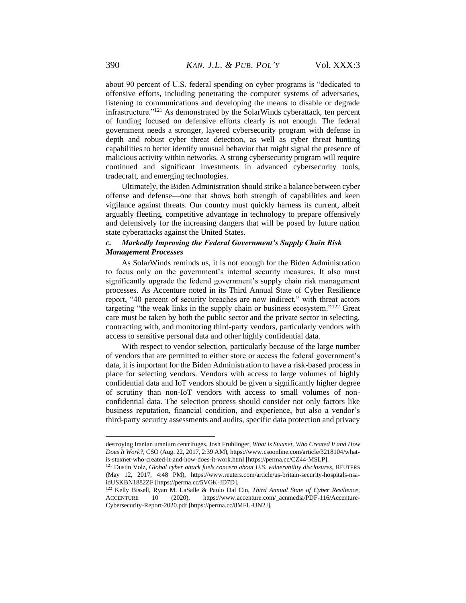about 90 percent of U.S. federal spending on cyber programs is "dedicated to offensive efforts, including penetrating the computer systems of adversaries, listening to communications and developing the means to disable or degrade infrastructure."<sup>121</sup> As demonstrated by the SolarWinds cyberattack, ten percent of funding focused on defensive efforts clearly is not enough. The federal government needs a stronger, layered cybersecurity program with defense in depth and robust cyber threat detection, as well as cyber threat hunting capabilities to better identify unusual behavior that might signal the presence of malicious activity within networks. A strong cybersecurity program will require continued and significant investments in advanced cybersecurity tools, tradecraft, and emerging technologies.

Ultimately, the Biden Administration should strike a balance between cyber offense and defense—one that shows both strength of capabilities and keen vigilance against threats. Our country must quickly harness its current, albeit arguably fleeting, competitive advantage in technology to prepare offensively and defensively for the increasing dangers that will be posed by future nation state cyberattacks against the United States.

# *c. Markedly Improving the Federal Government's Supply Chain Risk Management Processes*

As SolarWinds reminds us, it is not enough for the Biden Administration to focus only on the government's internal security measures. It also must significantly upgrade the federal government's supply chain risk management processes. As Accenture noted in its Third Annual State of Cyber Resilience report, "40 percent of security breaches are now indirect," with threat actors targeting "the weak links in the supply chain or business ecosystem."<sup>122</sup> Great care must be taken by both the public sector and the private sector in selecting, contracting with, and monitoring third-party vendors, particularly vendors with access to sensitive personal data and other highly confidential data.

With respect to vendor selection, particularly because of the large number of vendors that are permitted to either store or access the federal government's data, it is important for the Biden Administration to have a risk-based process in place for selecting vendors. Vendors with access to large volumes of highly confidential data and IoT vendors should be given a significantly higher degree of scrutiny than non-IoT vendors with access to small volumes of nonconfidential data. The selection process should consider not only factors like business reputation, financial condition, and experience, but also a vendor's third-party security assessments and audits, specific data protection and privacy

destroying Iranian uranium centrifuges. Josh Fruhlinger, *What is Stuxnet, Who Created It and How Does It Work?*, CSO (Aug. 22, 2017, 2:39 AM), https://www.csoonline.com/article/3218104/whatis-stuxnet-who-created-it-and-how-does-it-work.html [https://perma.cc/CZ44-MSLP].

<sup>121</sup> Dustin Volz, *Global cyber attack fuels concern about U.S. vulnerability disclosures*, REUTERS (May 12, 2017, 4:48 PM), [https://www.reuters.com/article/us-britain-security-hospitals-nsa](https://www.reuters.com/article/us-britain-security-hospitals-nsa-idUSKBN1882ZF)[idUSKBN1882ZF](https://www.reuters.com/article/us-britain-security-hospitals-nsa-idUSKBN1882ZF) [https://perma.cc/5VGK-JD7D].

<sup>&</sup>lt;sup>122</sup> Kelly Bissell, Ryan M. LaSalle & Paolo Dal Cin, *Third Annual State of Cyber Resilience*, <br>ACCENTURE 10 (2020), https://www.accenture.com/\_acnmedia/PDF-116/Accenture-10 (2020), https://www.accenture.com/\_acnmedia/PDF-116/Accenture-Cybersecurity-Report-2020.pdf [https://perma.cc/8MFL-UN2J].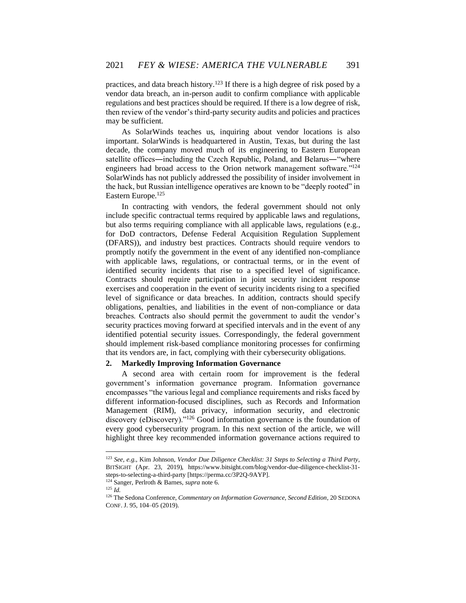practices, and data breach history.<sup>123</sup> If there is a high degree of risk posed by a vendor data breach, an in-person audit to confirm compliance with applicable regulations and best practices should be required. If there is a low degree of risk, then review of the vendor's third-party security audits and policies and practices may be sufficient.

As SolarWinds teaches us, inquiring about vendor locations is also important. SolarWinds is headquartered in Austin, Texas, but during the last decade, the company moved much of its engineering to Eastern European satellite offices―including the Czech Republic, Poland, and Belarus―"where engineers had broad access to the Orion network management software."<sup>124</sup> SolarWinds has not publicly addressed the possibility of insider involvement in the hack, but Russian intelligence operatives are known to be "deeply rooted" in Eastern Europe.<sup>125</sup>

In contracting with vendors, the federal government should not only include specific contractual terms required by applicable laws and regulations, but also terms requiring compliance with all applicable laws, regulations (e.g., for DoD contractors, Defense Federal Acquisition Regulation Supplement (DFARS)), and industry best practices. Contracts should require vendors to promptly notify the government in the event of any identified non-compliance with applicable laws, regulations, or contractual terms, or in the event of identified security incidents that rise to a specified level of significance. Contracts should require participation in joint security incident response exercises and cooperation in the event of security incidents rising to a specified level of significance or data breaches. In addition, contracts should specify obligations, penalties, and liabilities in the event of non-compliance or data breaches. Contracts also should permit the government to audit the vendor's security practices moving forward at specified intervals and in the event of any identified potential security issues. Correspondingly, the federal government should implement risk-based compliance monitoring processes for confirming that its vendors are, in fact, complying with their cybersecurity obligations.

# **2. Markedly Improving Information Governance**

A second area with certain room for improvement is the federal government's information governance program. Information governance encompasses "the various legal and compliance requirements and risks faced by different information-focused disciplines, such as Records and Information Management (RIM), data privacy, information security, and electronic discovery (eDiscovery)."<sup>126</sup> Good information governance is the foundation of every good cybersecurity program. In this next section of the article, we will highlight three key recommended information governance actions required to

<sup>125</sup> *Id.*

<sup>123</sup> *See, e.g.*, Kim Johnson, *Vendor Due Diligence Checklist: 31 Steps to Selecting a Third Party*, BITSIGHT (Apr. 23, 2019), https://www.bitsight.com/blog/vendor-due-diligence-checklist-31 steps-to-selecting-a-third-party [https://perma.cc/3P2Q-9AYP].

<sup>124</sup> Sanger, Perlroth & Barnes, *supra* note 6.

<sup>126</sup> The Sedona Conference, *Commentary on Information Governance, Second Edition*, 20 SEDONA CONF. J. 95, 104–05 (2019).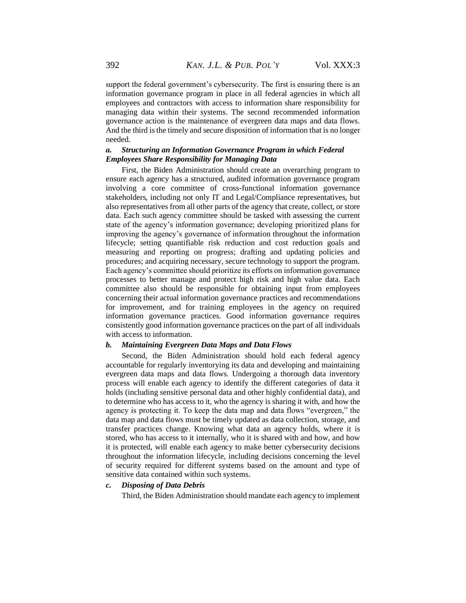support the federal government's cybersecurity. The first is ensuring there is an information governance program in place in all federal agencies in which all employees and contractors with access to information share responsibility for managing data within their systems. The second recommended information governance action is the maintenance of evergreen data maps and data flows. And the third is the timely and secure disposition of information that is no longer needed.

# *a. Structuring an Information Governance Program in which Federal Employees Share Responsibility for Managing Data*

First, the Biden Administration should create an overarching program to ensure each agency has a structured, audited information governance program involving a core committee of cross-functional information governance stakeholders, including not only IT and Legal/Compliance representatives, but also representatives from all other parts of the agency that create, collect, or store data. Each such agency committee should be tasked with assessing the current state of the agency's information governance; developing prioritized plans for improving the agency's governance of information throughout the information lifecycle; setting quantifiable risk reduction and cost reduction goals and measuring and reporting on progress; drafting and updating policies and procedures; and acquiring necessary, secure technology to support the program. Each agency's committee should prioritize its efforts on information governance processes to better manage and protect high risk and high value data. Each committee also should be responsible for obtaining input from employees concerning their actual information governance practices and recommendations for improvement, and for training employees in the agency on required information governance practices. Good information governance requires consistently good information governance practices on the part of all individuals with access to information.

# *b. Maintaining Evergreen Data Maps and Data Flows*

Second, the Biden Administration should hold each federal agency accountable for regularly inventorying its data and developing and maintaining evergreen data maps and data flows. Undergoing a thorough data inventory process will enable each agency to identify the different categories of data it holds (including sensitive personal data and other highly confidential data), and to determine who has access to it, who the agency is sharing it with, and how the agency is protecting it. To keep the data map and data flows "evergreen," the data map and data flows must be timely updated as data collection, storage, and transfer practices change. Knowing what data an agency holds, where it is stored, who has access to it internally, who it is shared with and how, and how it is protected, will enable each agency to make better cybersecurity decisions throughout the information lifecycle, including decisions concerning the level of security required for different systems based on the amount and type of sensitive data contained within such systems.

# *c. Disposing of Data Debris*

Third, the Biden Administration should mandate each agency to implement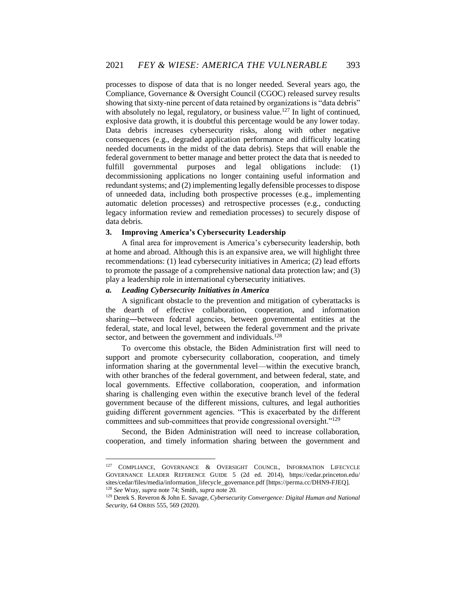processes to dispose of data that is no longer needed. Several years ago, the Compliance, Governance & Oversight Council (CGOC) released survey results showing that sixty-nine percent of data retained by organizations is "data debris" with absolutely no legal, regulatory, or business value.<sup>127</sup> In light of continued, explosive data growth, it is doubtful this percentage would be any lower today. Data debris increases cybersecurity risks, along with other negative consequences (e.g., degraded application performance and difficulty locating needed documents in the midst of the data debris). Steps that will enable the federal government to better manage and better protect the data that is needed to fulfill governmental purposes and legal obligations include: (1) decommissioning applications no longer containing useful information and redundant systems; and (2) implementing legally defensible processes to dispose of unneeded data, including both prospective processes (e.g., implementing automatic deletion processes) and retrospective processes (e.g., conducting legacy information review and remediation processes) to securely dispose of data debris.

# **3. Improving America's Cybersecurity Leadership**

A final area for improvement is America's cybersecurity leadership, both at home and abroad. Although this is an expansive area, we will highlight three recommendations: (1) lead cybersecurity initiatives in America; (2) lead efforts to promote the passage of a comprehensive national data protection law; and (3) play a leadership role in international cybersecurity initiatives.

# *a. Leading Cybersecurity Initiatives in America*

A significant obstacle to the prevention and mitigation of cyberattacks is the dearth of effective collaboration, cooperation, and information sharing―between federal agencies, between governmental entities at the federal, state, and local level, between the federal government and the private sector, and between the government and individuals.<sup>128</sup>

To overcome this obstacle, the Biden Administration first will need to support and promote cybersecurity collaboration, cooperation, and timely information sharing at the governmental level—within the executive branch, with other branches of the federal government, and between federal, state, and local governments. Effective collaboration, cooperation, and information sharing is challenging even within the executive branch level of the federal government because of the different missions, cultures, and legal authorities guiding different government agencies. "This is exacerbated by the different committees and sub-committees that provide congressional oversight."<sup>129</sup>

Second, the Biden Administration will need to increase collaboration, cooperation, and timely information sharing between the government and

<sup>127</sup> COMPLIANCE, GOVERNANCE & OVERSIGHT COUNCIL, INFORMATION LIFECYCLE GOVERNANCE LEADER REFERENCE GUIDE 5 (2d ed. 2014), https://cedar.princeton.edu/ sites/cedar/files/media/information\_lifecycle\_governance.pdf [https://perma.cc/DHN9-FJEQ]. <sup>128</sup> *See* Wray, *supra* note 74; Smith, *supra* note 20.

<sup>129</sup> Derek S. Reveron & John E. Savage, *Cybersecurity Convergence: Digital Human and National Security*, 64 ORBIS 555, 569 (2020).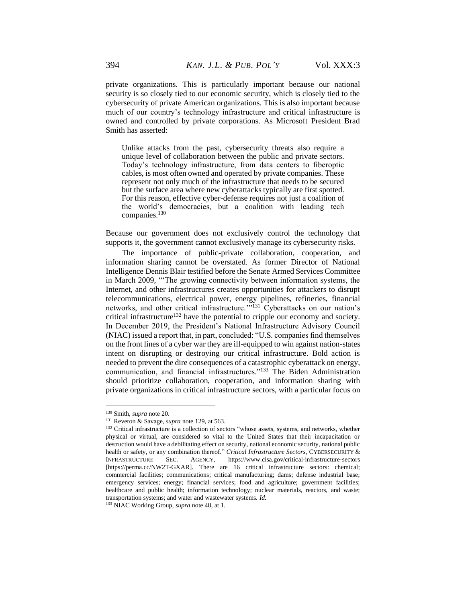private organizations. This is particularly important because our national security is so closely tied to our economic security, which is closely tied to the cybersecurity of private American organizations. This is also important because much of our country's technology infrastructure and critical infrastructure is owned and controlled by private corporations. As Microsoft President Brad Smith has asserted:

Unlike attacks from the past, cybersecurity threats also require a unique level of collaboration between the public and private sectors. Today's technology infrastructure, from data centers to fiberoptic cables, is most often owned and operated by private companies. These represent not only much of the infrastructure that needs to be secured but the surface area where new cyberattacks typically are first spotted. For this reason, effective cyber-defense requires not just a coalition of the world's democracies, but a coalition with leading tech companies.<sup>130</sup>

Because our government does not exclusively control the technology that supports it, the government cannot exclusively manage its cybersecurity risks.

The importance of public-private collaboration, cooperation, and information sharing cannot be overstated. As former Director of National Intelligence Dennis Blair testified before the Senate Armed Services Committee in March 2009, "'The growing connectivity between information systems, the Internet, and other infrastructures creates opportunities for attackers to disrupt telecommunications, electrical power, energy pipelines, refineries, financial networks, and other critical infrastructure.<sup>'"131</sup> Cyberattacks on our nation's critical infrastructure<sup>132</sup> have the potential to cripple our economy and society. In December 2019, the President's National Infrastructure Advisory Council (NIAC) issued a report that, in part, concluded: "U.S. companies find themselves on the front lines of a cyber war they are ill-equipped to win against nation-states intent on disrupting or destroying our critical infrastructure. Bold action is needed to prevent the dire consequences of a catastrophic cyberattack on energy, communication, and financial infrastructures."<sup>133</sup> The Biden Administration should prioritize collaboration, cooperation, and information sharing with private organizations in critical infrastructure sectors, with a particular focus on

<sup>130</sup> Smith, *supra* note 20.

<sup>131</sup> Reveron & Savage, *supra* note 129, at 563.

<sup>&</sup>lt;sup>132</sup> Critical infrastructure is a collection of sectors "whose assets, systems, and networks, whether physical or virtual, are considered so vital to the United States that their incapacitation or destruction would have a debilitating effect on security, national economic security, national public health or safety, or any combination thereof." *Critical Infrastructure Sectors*, CYBERSECURITY & INFRASTRUCTURE SEC. AGENCY, <https://www.cisa.gov/critical-infrastructure-sectors> [https://perma.cc/NW2T-GXAR]. There are 16 critical infrastructure sectors: chemical; commercial facilities; communications; critical manufacturing; dams; defense industrial base; emergency services; energy; financial services; food and agriculture; government facilities; healthcare and public health; information technology; nuclear materials, reactors, and waste; transportation systems; and water and wastewater systems. *Id.*

<sup>133</sup> NIAC Working Group, *supra* note 48, at 1.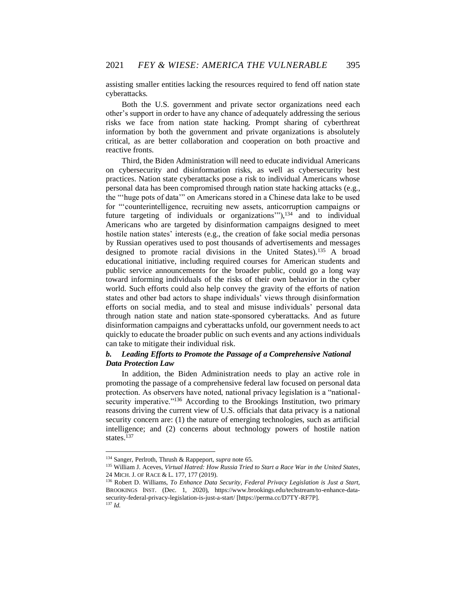assisting smaller entities lacking the resources required to fend off nation state cyberattacks.

Both the U.S. government and private sector organizations need each other's support in order to have any chance of adequately addressing the serious risks we face from nation state hacking. Prompt sharing of cyberthreat information by both the government and private organizations is absolutely critical, as are better collaboration and cooperation on both proactive and reactive fronts.

Third, the Biden Administration will need to educate individual Americans on cybersecurity and disinformation risks, as well as cybersecurity best practices. Nation state cyberattacks pose a risk to individual Americans whose personal data has been compromised through nation state hacking attacks (e.g., the "'huge pots of data'" on Americans stored in a Chinese data lake to be used for "'counterintelligence, recruiting new assets, anticorruption campaigns or future targeting of individuals or organizations""),<sup>134</sup> and to individual Americans who are targeted by disinformation campaigns designed to meet hostile nation states' interests (e.g., the creation of fake social media personas by Russian operatives used to post thousands of advertisements and messages designed to promote racial divisions in the United States).<sup>135</sup> A broad educational initiative, including required courses for American students and public service announcements for the broader public, could go a long way toward informing individuals of the risks of their own behavior in the cyber world. Such efforts could also help convey the gravity of the efforts of nation states and other bad actors to shape individuals' views through disinformation efforts on social media, and to steal and misuse individuals' personal data through nation state and nation state-sponsored cyberattacks. And as future disinformation campaigns and cyberattacks unfold, our government needs to act quickly to educate the broader public on such events and any actions individuals can take to mitigate their individual risk.

# *b. Leading Efforts to Promote the Passage of a Comprehensive National Data Protection Law*

In addition, the Biden Administration needs to play an active role in promoting the passage of a comprehensive federal law focused on personal data protection. As observers have noted, national privacy legislation is a "nationalsecurity imperative."<sup>136</sup> According to the Brookings Institution, two primary reasons driving the current view of U.S. officials that data privacy is a national security concern are: (1) the nature of emerging technologies, such as artificial intelligence; and (2) concerns about technology powers of hostile nation states.<sup>137</sup>

<sup>134</sup> Sanger, Perlroth, Thrush & Rappeport, *supra* note 65.

<sup>135</sup> William J. Aceves, *Virtual Hatred: How Russia Tried to Start a Race War in the United States*, 24 MICH. J. OF RACE & L. 177, 177 (2019).

<sup>136</sup> Robert D. Williams, *To Enhance Data Security, Federal Privacy Legislation is Just a Start*, BROOKINGS INST. (Dec. 1, 2020), https://www.brookings.edu/techstream/to-enhance-datasecurity-federal-privacy-legislation-is-just-a-start/ [https://perma.cc/D7TY-RF7P]. <sup>137</sup> *Id.*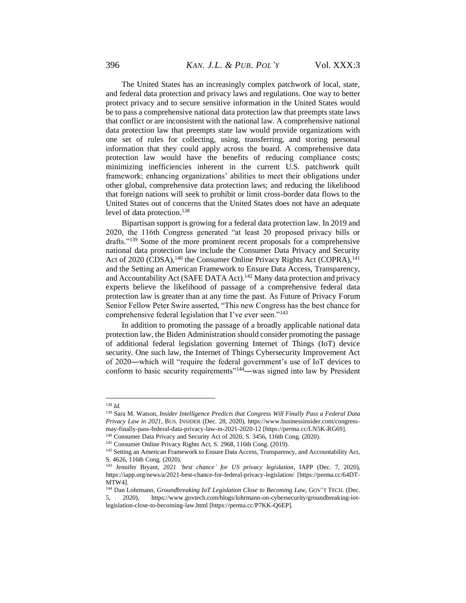The United States has an increasingly complex patchwork of local, state, and federal data protection and privacy laws and regulations. One way to better protect privacy and to secure sensitive information in the United States would be to pass a comprehensive national data protection law that preempts state laws that conflict or are inconsistent with the national law. A comprehensive national data protection law that preempts state law would provide organizations with one set of rules for collecting, using, transferring, and storing personal information that they could apply across the board. A comprehensive data protection law would have the benefits of reducing compliance costs; minimizing inefficiencies inherent in the current U.S. patchwork quilt framework; enhancing organizations' abilities to meet their obligations under other global, comprehensive data protection laws; and reducing the likelihood that foreign nations will seek to prohibit or limit cross-border data flows to the United States out of concerns that the United States does not have an adequate level of data protection.<sup>138</sup>

Bipartisan support is growing for a federal data protection law. In 2019 and 2020, the 116th Congress generated "at least 20 proposed privacy bills or drafts."<sup>139</sup> Some of the more prominent recent proposals for a comprehensive national data protection law include the Consumer Data Privacy and Security Act of 2020 (CDSA),<sup>140</sup> the Consumer Online Privacy Rights Act (COPRA),<sup>141</sup> and the Setting an American Framework to Ensure Data Access, Transparency, and Accountability Act (SAFE DATA Act).<sup>142</sup> Many data protection and privacy experts believe the likelihood of passage of a comprehensive federal data protection law is greater than at any time the past. As Future of Privacy Forum Senior Fellow Peter Swire asserted, "This new Congress has the best chance for comprehensive federal legislation that I've ever seen."<sup>143</sup>

In addition to promoting the passage of a broadly applicable national data protection law, the Biden Administration should consider promoting the passage of additional federal legislation governing Internet of Things (IoT) device security. One such law, the Internet of Things Cybersecurity Improvement Act of 2020―which will "require the federal government's use of IoT devices to conform to basic security requirements"<sup>144</sup>—was signed into law by President

<sup>138</sup> *Id.*

<sup>139</sup> Sara M. Watson, *Insider Intelligence Predicts that Congress Will Finally Pass a Federal Data Privacy Law in 2021*, BUS. INSIDER (Dec. 28, 2020), https://www.businessinsider.com/congressmay-finally-pass-federal-data-privacy-law-in-2021-2020-12 [https://perma.cc/LN5K-RG69].

<sup>140</sup> Consumer Data Privacy and Security Act of 2020, S. 3456, 116th Cong. (2020).

<sup>141</sup> Consumer Online Privacy Rights Act, S. 2968, 116th Cong. (2019).

<sup>&</sup>lt;sup>142</sup> Setting an American Framework to Ensure Data Access, Transparency, and Accountability Act, S. 4626, 116th Cong. (2020).

<sup>143</sup> Jennifer Bryant, *2021 'best chance' for US privacy legislation*, IAPP (Dec. 7, 2020), https://iapp.org/news/a/2021-best-chance-for-federal-privacy-legislation/ [https://perma.cc/64DT-MTW4].

<sup>144</sup> Dan Lohrmann, *Groundbreaking IoT Legislation Close to Becoming Law*, GOV'T TECH. (Dec. 5, 2020), https://www.govtech.com/blogs/lohrmann-on-cybersecurity/groundbreaking-iotlegislation-close-to-becoming-law.html [https://perma.cc/P7KK-Q6EP].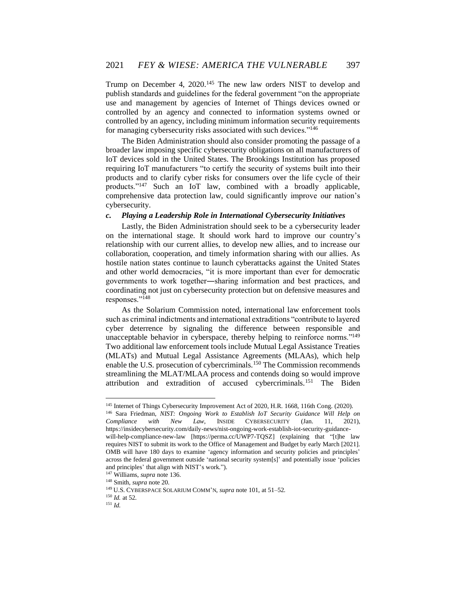Trump on December 4, 2020.<sup>145</sup> The new law orders NIST to develop and publish standards and guidelines for the federal government "on the appropriate use and management by agencies of Internet of Things devices owned or controlled by an agency and connected to information systems owned or controlled by an agency, including minimum information security requirements for managing cybersecurity risks associated with such devices."<sup>146</sup>

The Biden Administration should also consider promoting the passage of a broader law imposing specific cybersecurity obligations on all manufacturers of IoT devices sold in the United States. The Brookings Institution has proposed requiring IoT manufacturers "to certify the security of systems built into their products and to clarify cyber risks for consumers over the life cycle of their products."<sup>147</sup> Such an IoT law, combined with a broadly applicable, comprehensive data protection law, could significantly improve our nation's cybersecurity.

#### *c. Playing a Leadership Role in International Cybersecurity Initiatives*

Lastly, the Biden Administration should seek to be a cybersecurity leader on the international stage. It should work hard to improve our country's relationship with our current allies, to develop new allies, and to increase our collaboration, cooperation, and timely information sharing with our allies. As hostile nation states continue to launch cyberattacks against the United States and other world democracies, "it is more important than ever for democratic governments to work together―sharing information and best practices, and coordinating not just on cybersecurity protection but on defensive measures and responses."<sup>148</sup>

As the Solarium Commission noted, international law enforcement tools such as criminal indictments and international extraditions "contribute to layered cyber deterrence by signaling the difference between responsible and unacceptable behavior in cyberspace, thereby helping to reinforce norms."<sup>149</sup> Two additional law enforcement tools include Mutual Legal Assistance Treaties (MLATs) and Mutual Legal Assistance Agreements (MLAAs), which help enable the U.S. prosecution of cybercriminals.<sup>150</sup> The Commission recommends streamlining the MLAT/MLAA process and contends doing so would improve attribution and extradition of accused cybercriminals.<sup>151</sup> The Biden

<sup>145</sup> Internet of Things Cybersecurity Improvement Act of 2020, H.R. 1668, 116th Cong. (2020).

<sup>146</sup> Sara Friedman, *NIST: Ongoing Work to Establish IoT Security Guidance Will Help on Compliance with New Law*, INSIDE CYBERSECURITY (Jan. 11, 2021), https://insidecybersecurity.com/daily-news/nist-ongoing-work-establish-iot-security-guidancewill-help-compliance-new-law [https://perma.cc/UWP7-TQSZ] (explaining that "[t]he law requires NIST to submit its work to the Office of Management and Budget by early March [2021]. OMB will have 180 days to examine 'agency information and security policies and principles' across the federal government outside 'national security system[s]' and potentially issue 'policies

and principles' that align with NIST's work.").

<sup>147</sup> Williams, *supra* note 136.

<sup>148</sup> Smith, *supra* note 20.

<sup>149</sup> U.S. CYBERSPACE SOLARIUM COMM'N, *supra* note 101, at 51–52.

<sup>150</sup> *Id.* at 52.

<sup>151</sup> *Id.*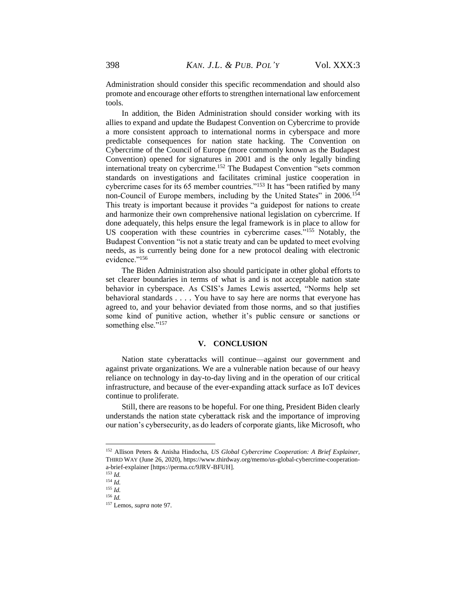Administration should consider this specific recommendation and should also promote and encourage other efforts to strengthen international law enforcement tools.

In addition, the Biden Administration should consider working with its allies to expand and update the Budapest Convention on Cybercrime to provide a more consistent approach to international norms in cyberspace and more predictable consequences for nation state hacking. The Convention on Cybercrime of the Council of Europe (more commonly known as the Budapest Convention) opened for signatures in 2001 and is the only legally binding international treaty on cybercrime.<sup>152</sup> The Budapest Convention "sets common standards on investigations and facilitates criminal justice cooperation in cybercrime cases for its 65 member countries."<sup>153</sup> It has "been ratified by many non-Council of Europe members, including by the United States" in 2006.<sup>154</sup> This treaty is important because it provides "a guidepost for nations to create and harmonize their own comprehensive national legislation on cybercrime. If done adequately, this helps ensure the legal framework is in place to allow for US cooperation with these countries in cybercrime cases."<sup>155</sup> Notably, the Budapest Convention "is not a static treaty and can be updated to meet evolving needs, as is currently being done for a new protocol dealing with electronic evidence."156

The Biden Administration also should participate in other global efforts to set clearer boundaries in terms of what is and is not acceptable nation state behavior in cyberspace. As CSIS's James Lewis asserted, "Norms help set behavioral standards . . . . You have to say here are norms that everyone has agreed to, and your behavior deviated from those norms, and so that justifies some kind of punitive action, whether it's public censure or sanctions or something else."<sup>157</sup>

# **V. CONCLUSION**

Nation state cyberattacks will continue—against our government and against private organizations. We are a vulnerable nation because of our heavy reliance on technology in day-to-day living and in the operation of our critical infrastructure, and because of the ever-expanding attack surface as IoT devices continue to proliferate.

Still, there are reasons to be hopeful. For one thing, President Biden clearly understands the nation state cyberattack risk and the importance of improving our nation's cybersecurity, as do leaders of corporate giants, like Microsoft, who

<sup>152</sup> Allison Peters & Anisha Hindocha, *US Global Cybercrime Cooperation: A Brief Explainer*, THIRD WAY (June 26, 2020), https://www.thirdway.org/memo/us-global-cybercrime-cooperationa-brief-explainer [https://perma.cc/9JRV-BFUH].

<sup>153</sup> *Id.*

<sup>154</sup> *Id.*

<sup>155</sup> *Id.* <sup>156</sup> *Id.*

<sup>157</sup> Lemos, *supra* note 97.